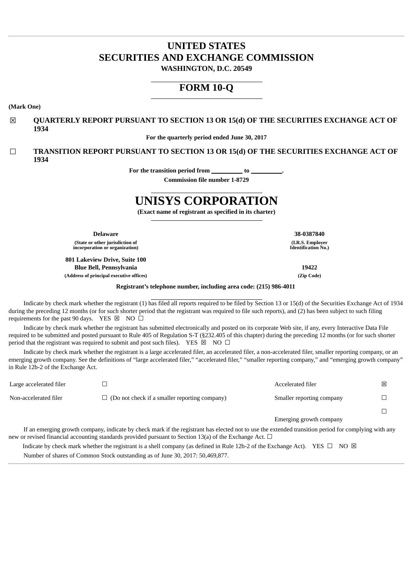# **UNITED STATES SECURITIES AND EXCHANGE COMMISSION**

**WASHINGTON, D.C. 20549**

# **FORM 10-Q**

**(Mark One)**

☒ **QUARTERLY REPORT PURSUANT TO SECTION 13 OR 15(d) OF THE SECURITIES EXCHANGE ACT OF 1934**

**For the quarterly period ended June 30, 2017**

☐ **TRANSITION REPORT PURSUANT TO SECTION 13 OR 15(d) OF THE SECURITIES EXCHANGE ACT OF 1934**

**For the transition period from to .**

**Commission file number 1-8729**

# **UNISYS CORPORATION**

**(Exact name of registrant as specified in its charter)**

**(State or other jurisdiction of incorporation or organization)**

**801 Lakeview Drive, Suite 100 Blue Bell, Pennsylvania 19422 (Address of principal executive offices) (Zip Code)**

**Delaware 38-0387840 (I.R.S. Employer Identification No.)**

**Registrant's telephone number, including area code: (215) 986-4011**

Indicate by check mark whether the registrant (1) has filed all reports required to be filed by Section 13 or 15(d) of the Securities Exchange Act of 1934 during the preceding 12 months (or for such shorter period that the registrant was required to file such reports), and (2) has been subject to such filing requirements for the past 90 days. YES  $\boxtimes$  NO  $\Box$ 

Indicate by check mark whether the registrant has submitted electronically and posted on its corporate Web site, if any, every Interactive Data File required to be submitted and posted pursuant to Rule 405 of Regulation S-T (§232.405 of this chapter) during the preceding 12 months (or for such shorter period that the registrant was required to submit and post such files). YES  $\boxtimes$  NO  $\Box$ 

Indicate by check mark whether the registrant is a large accelerated filer, an accelerated filer, a non-accelerated filer, smaller reporting company, or an emerging growth company. See the definitions of "large accelerated filer," "accelerated filer," "smaller reporting company," and "emerging growth company" in Rule 12b-2 of the Exchange Act.

| Large accelerated filer |                                                                                                                                                      | Accelerated filer         | 区 |
|-------------------------|------------------------------------------------------------------------------------------------------------------------------------------------------|---------------------------|---|
| Non-accelerated filer   | $\Box$ (Do not check if a smaller reporting company)                                                                                                 | Smaller reporting company |   |
|                         |                                                                                                                                                      |                           |   |
|                         |                                                                                                                                                      | Emerging growth company   |   |
|                         | If an emerging growth company, indicate by check mark if the registrant has elected not to use the extended transition period for complying with any |                           |   |

new or revised financial accounting standards provided pursuant to Section 13(a) of the Exchange Act.  $\Box$ 

Indicate by check mark whether the registrant is a shell company (as defined in Rule 12b-2 of the Exchange Act). YES  $\Box$  NO  $\boxtimes$ Number of shares of Common Stock outstanding as of June 30, 2017: 50,469,877.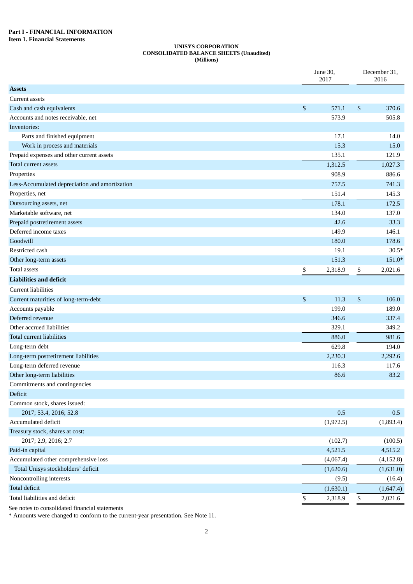#### **UNISYS CORPORATION CONSOLIDATED BALANCE SHEETS (Unaudited) (Millions)**

|                                                | June 30,<br>2017 |               | December 31,<br>2016 |
|------------------------------------------------|------------------|---------------|----------------------|
| <b>Assets</b>                                  |                  |               |                      |
| Current assets                                 |                  |               |                      |
| Cash and cash equivalents                      | \$<br>571.1      | $\,$          | 370.6                |
| Accounts and notes receivable, net             | 573.9            |               | 505.8                |
| Inventories:                                   |                  |               |                      |
| Parts and finished equipment                   | 17.1             |               | 14.0                 |
| Work in process and materials                  | 15.3             |               | 15.0                 |
| Prepaid expenses and other current assets      | 135.1            |               | 121.9                |
| Total current assets                           | 1,312.5          |               | 1,027.3              |
| Properties                                     | 908.9            |               | 886.6                |
| Less-Accumulated depreciation and amortization | 757.5            |               | 741.3                |
| Properties, net                                | 151.4            |               | 145.3                |
| Outsourcing assets, net                        | 178.1            |               | 172.5                |
| Marketable software, net                       | 134.0            |               | 137.0                |
| Prepaid postretirement assets                  | 42.6             |               | 33.3                 |
| Deferred income taxes                          | 149.9            |               | 146.1                |
| Goodwill                                       | 180.0            |               | 178.6                |
| Restricted cash                                | 19.1             |               | $30.5*$              |
| Other long-term assets                         | 151.3            |               | 151.0*               |
| Total assets                                   | \$<br>2,318.9    | ${\mathbb S}$ | 2,021.6              |
| <b>Liabilities and deficit</b>                 |                  |               |                      |
| <b>Current liabilities</b>                     |                  |               |                      |
| Current maturities of long-term-debt           | \$<br>11.3       | \$            | 106.0                |
| Accounts payable                               | 199.0            |               | 189.0                |
| Deferred revenue                               | 346.6            |               | 337.4                |
| Other accrued liabilities                      | 329.1            |               | 349.2                |
| Total current liabilities                      | 886.0            |               | 981.6                |
| Long-term debt                                 | 629.8            |               | 194.0                |
| Long-term postretirement liabilities           | 2,230.3          |               | 2,292.6              |
| Long-term deferred revenue                     | 116.3            |               | 117.6                |
| Other long-term liabilities                    | 86.6             |               | 83.2                 |
| Commitments and contingencies                  |                  |               |                      |
| Deficit                                        |                  |               |                      |
| Common stock, shares issued:                   |                  |               |                      |
| 2017; 53.4, 2016; 52.8                         | 0.5              |               | 0.5                  |
| Accumulated deficit                            | (1,972.5)        |               | (1,893.4)            |
| Treasury stock, shares at cost:                |                  |               |                      |
| 2017; 2.9, 2016; 2.7                           | (102.7)          |               | (100.5)              |
| Paid-in capital                                | 4,521.5          |               | 4,515.2              |
| Accumulated other comprehensive loss           | (4,067.4)        |               | (4, 152.8)           |
| Total Unisys stockholders' deficit             | (1,620.6)        |               | (1,631.0)            |
| Noncontrolling interests                       | (9.5)            |               | (16.4)               |
| <b>Total deficit</b>                           | (1,630.1)        |               | (1,647.4)            |
| Total liabilities and deficit                  | \$<br>2,318.9    | \$            | 2,021.6              |

See notes to consolidated financial statements

\* Amounts were changed to conform to the current-year presentation. See Note 11.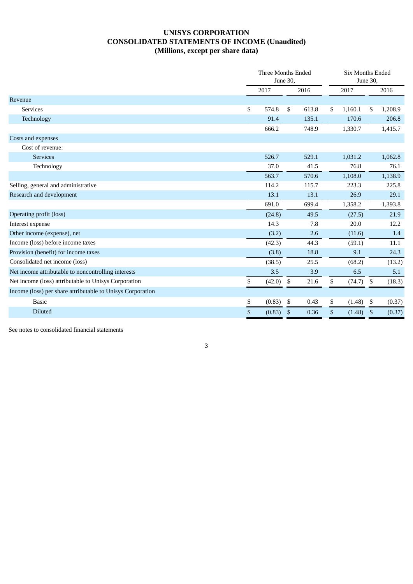## **UNISYS CORPORATION CONSOLIDATED STATEMENTS OF INCOME (Unaudited) (Millions, except per share data)**

|                                                            | <b>Three Months Ended</b> | June 30. |       | <b>Six Months Ended</b> | June 30. |     |         |
|------------------------------------------------------------|---------------------------|----------|-------|-------------------------|----------|-----|---------|
|                                                            | 2017                      |          | 2016  | 2017                    |          |     | 2016    |
| Revenue                                                    |                           |          |       |                         |          |     |         |
| <b>Services</b>                                            | \$<br>574.8               | \$       | 613.8 | \$                      | 1,160.1  | \$  | 1,208.9 |
| Technology                                                 | 91.4                      |          | 135.1 |                         | 170.6    |     | 206.8   |
|                                                            | 666.2                     |          | 748.9 |                         | 1,330.7  |     | 1,415.7 |
| Costs and expenses                                         |                           |          |       |                         |          |     |         |
| Cost of revenue:                                           |                           |          |       |                         |          |     |         |
| <b>Services</b>                                            | 526.7                     |          | 529.1 |                         | 1,031.2  |     | 1,062.8 |
| Technology                                                 | 37.0                      |          | 41.5  |                         | 76.8     |     | 76.1    |
|                                                            | 563.7                     |          | 570.6 |                         | 1,108.0  |     | 1,138.9 |
| Selling, general and administrative                        | 114.2                     |          | 115.7 |                         | 223.3    |     | 225.8   |
| Research and development                                   | 13.1                      |          | 13.1  |                         | 26.9     |     | 29.1    |
|                                                            | 691.0                     |          | 699.4 |                         | 1,358.2  |     | 1,393.8 |
| Operating profit (loss)                                    | (24.8)                    |          | 49.5  |                         | (27.5)   |     | 21.9    |
| Interest expense                                           | 14.3                      |          | 7.8   |                         | 20.0     |     | 12.2    |
| Other income (expense), net                                | (3.2)                     |          | 2.6   |                         | (11.6)   |     | 1.4     |
| Income (loss) before income taxes                          | (42.3)                    |          | 44.3  |                         | (59.1)   |     | 11.1    |
| Provision (benefit) for income taxes                       | (3.8)                     |          | 18.8  |                         | 9.1      |     | 24.3    |
| Consolidated net income (loss)                             | (38.5)                    |          | 25.5  |                         | (68.2)   |     | (13.2)  |
| Net income attributable to noncontrolling interests        | 3.5                       |          | 3.9   |                         | 6.5      |     | 5.1     |
| Net income (loss) attributable to Unisys Corporation       | \$<br>(42.0)              | \$       | 21.6  | \$                      | (74.7)   | -\$ | (18.3)  |
| Income (loss) per share attributable to Unisys Corporation |                           |          |       |                         |          |     |         |
| <b>Basic</b>                                               | \$<br>(0.83)              | \$       | 0.43  | \$                      | (1.48)   | -\$ | (0.37)  |
| <b>Diluted</b>                                             | \$<br>(0.83)              | \$       | 0.36  | \$                      | (1.48)   | -\$ | (0.37)  |

3

See notes to consolidated financial statements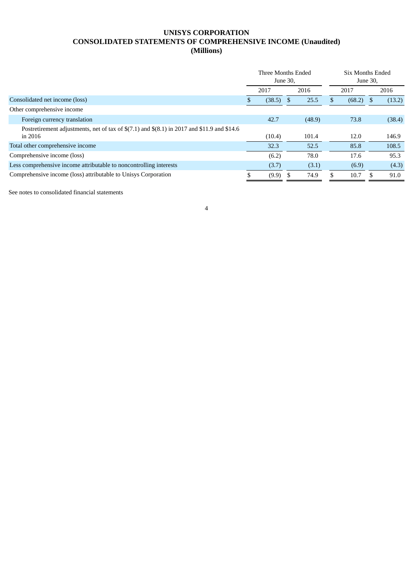## **UNISYS CORPORATION CONSOLIDATED STATEMENTS OF COMPREHENSIVE INCOME (Unaudited) (Millions)**

|                                                                                                            | Three Months Ended<br>June 30, |        |    |        |      |             | <b>Six Months Ended</b><br>June 30, |        |  |
|------------------------------------------------------------------------------------------------------------|--------------------------------|--------|----|--------|------|-------------|-------------------------------------|--------|--|
|                                                                                                            | 2017<br>2016                   |        |    |        | 2017 |             |                                     | 2016   |  |
| Consolidated net income (loss)                                                                             |                                | (38.5) | -S | 25.5   |      | $(68.2)$ \$ |                                     | (13.2) |  |
| Other comprehensive income                                                                                 |                                |        |    |        |      |             |                                     |        |  |
| Foreign currency translation                                                                               |                                | 42.7   |    | (48.9) |      | 73.8        |                                     | (38.4) |  |
| Postretirement adjustments, net of tax of $\$(7.1)$ and $\$(8.1)$ in 2017 and \$11.9 and \$14.6<br>in 2016 |                                | (10.4) |    | 101.4  |      | 12.0        |                                     | 146.9  |  |
| Total other comprehensive income                                                                           |                                | 32.3   |    | 52.5   |      | 85.8        |                                     | 108.5  |  |
| Comprehensive income (loss)                                                                                |                                | (6.2)  |    | 78.0   |      | 17.6        |                                     | 95.3   |  |
| Less comprehensive income attributable to noncontrolling interests                                         |                                | (3.7)  |    | (3.1)  |      | (6.9)       |                                     | (4.3)  |  |
| Comprehensive income (loss) attributable to Unisys Corporation                                             | \$                             | (9.9)  |    | 74.9   |      | 10.7        |                                     | 91.0   |  |

See notes to consolidated financial statements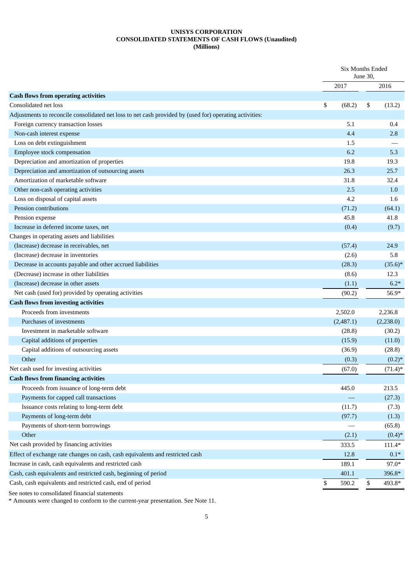## **UNISYS CORPORATION CONSOLIDATED STATEMENTS OF CASH FLOWS (Unaudited) (Millions)**

|                                                                                                         | Six Months Ended<br>June 30, |    |            |  |  |  |
|---------------------------------------------------------------------------------------------------------|------------------------------|----|------------|--|--|--|
|                                                                                                         | 2017                         |    | 2016       |  |  |  |
| <b>Cash flows from operating activities</b>                                                             |                              |    |            |  |  |  |
| Consolidated net loss                                                                                   | \$<br>(68.2)                 | \$ | (13.2)     |  |  |  |
| Adjustments to reconcile consolidated net loss to net cash provided by (used for) operating activities: |                              |    |            |  |  |  |
| Foreign currency transaction losses                                                                     | 5.1                          |    | 0.4        |  |  |  |
| Non-cash interest expense                                                                               | 4.4                          |    | 2.8        |  |  |  |
| Loss on debt extinguishment                                                                             | 1.5                          |    |            |  |  |  |
| Employee stock compensation                                                                             | 6.2                          |    | 5.3        |  |  |  |
| Depreciation and amortization of properties                                                             | 19.8                         |    | 19.3       |  |  |  |
| Depreciation and amortization of outsourcing assets                                                     | 26.3                         |    | 25.7       |  |  |  |
| Amortization of marketable software                                                                     | 31.8                         |    | 32.4       |  |  |  |
| Other non-cash operating activities                                                                     | 2.5                          |    | 1.0        |  |  |  |
| Loss on disposal of capital assets                                                                      | 4.2                          |    | 1.6        |  |  |  |
| Pension contributions                                                                                   | (71.2)                       |    | (64.1)     |  |  |  |
| Pension expense                                                                                         | 45.8                         |    | 41.8       |  |  |  |
| Increase in deferred income taxes, net                                                                  | (0.4)                        |    | (9.7)      |  |  |  |
| Changes in operating assets and liabilities                                                             |                              |    |            |  |  |  |
| (Increase) decrease in receivables, net                                                                 | (57.4)                       |    | 24.9       |  |  |  |
| (Increase) decrease in inventories                                                                      | (2.6)                        |    | 5.8        |  |  |  |
| Decrease in accounts payable and other accrued liabilities                                              | (28.3)                       |    | $(35.6)*$  |  |  |  |
| (Decrease) increase in other liabilities                                                                | (8.6)                        |    | 12.3       |  |  |  |
| (Increase) decrease in other assets                                                                     | (1.1)                        |    | $6.2*$     |  |  |  |
| Net cash (used for) provided by operating activities                                                    | (90.2)                       |    | 56.9*      |  |  |  |
| <b>Cash flows from investing activities</b>                                                             |                              |    |            |  |  |  |
| Proceeds from investments                                                                               | 2,502.0                      |    | 2,236.8    |  |  |  |
| Purchases of investments                                                                                | (2,487.1)                    |    | (2,238.0)  |  |  |  |
| Investment in marketable software                                                                       | (28.8)                       |    | (30.2)     |  |  |  |
| Capital additions of properties                                                                         | (15.9)                       |    | (11.0)     |  |  |  |
| Capital additions of outsourcing assets                                                                 | (36.9)                       |    | (28.8)     |  |  |  |
| Other                                                                                                   | (0.3)                        |    | $(0.2)$ *  |  |  |  |
| Net cash used for investing activities                                                                  | (67.0)                       |    | $(71.4)^*$ |  |  |  |
| <b>Cash flows from financing activities</b>                                                             |                              |    |            |  |  |  |
| Proceeds from issuance of long-term debt                                                                | 445.0                        |    | 213.5      |  |  |  |
| Payments for capped call transactions                                                                   |                              |    | (27.3)     |  |  |  |
| Issuance costs relating to long-term debt                                                               | (11.7)                       |    | (7.3)      |  |  |  |
| Payments of long-term debt                                                                              | (97.7)                       |    | (1.3)      |  |  |  |
| Payments of short-term borrowings                                                                       |                              |    | (65.8)     |  |  |  |
| Other                                                                                                   | (2.1)                        |    | $(0.4)$ *  |  |  |  |
| Net cash provided by financing activities                                                               | 333.5                        |    | $111.4*$   |  |  |  |
| Effect of exchange rate changes on cash, cash equivalents and restricted cash                           | 12.8                         |    | $0.1*$     |  |  |  |
| Increase in cash, cash equivalents and restricted cash                                                  | 189.1                        |    | $97.0*$    |  |  |  |
| Cash, cash equivalents and restricted cash, beginning of period                                         | 401.1                        |    | 396.8*     |  |  |  |
| Cash, cash equivalents and restricted cash, end of period                                               | \$<br>590.2                  | \$ | 493.8*     |  |  |  |
|                                                                                                         |                              |    |            |  |  |  |

See notes to consolidated financial statements

\* Amounts were changed to conform to the current-year presentation. See Note 11.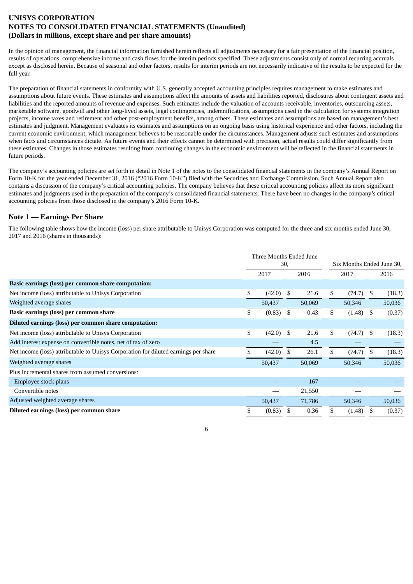## **UNISYS CORPORATION NOTES TO CONSOLIDATED FINANCIAL STATEMENTS (Unaudited) (Dollars in millions, except share and per share amounts)**

In the opinion of management, the financial information furnished herein reflects all adjustments necessary for a fair presentation of the financial position, results of operations, comprehensive income and cash flows for the interim periods specified. These adjustments consist only of normal recurring accruals except as disclosed herein. Because of seasonal and other factors, results for interim periods are not necessarily indicative of the results to be expected for the full year.

The preparation of financial statements in conformity with U.S. generally accepted accounting principles requires management to make estimates and assumptions about future events. These estimates and assumptions affect the amounts of assets and liabilities reported, disclosures about contingent assets and liabilities and the reported amounts of revenue and expenses. Such estimates include the valuation of accounts receivable, inventories, outsourcing assets, marketable software, goodwill and other long-lived assets, legal contingencies, indemnifications, assumptions used in the calculation for systems integration projects, income taxes and retirement and other post-employment benefits, among others. These estimates and assumptions are based on management's best estimates and judgment. Management evaluates its estimates and assumptions on an ongoing basis using historical experience and other factors, including the current economic environment, which management believes to be reasonable under the circumstances. Management adjusts such estimates and assumptions when facts and circumstances dictate. As future events and their effects cannot be determined with precision, actual results could differ significantly from these estimates. Changes in those estimates resulting from continuing changes in the economic environment will be reflected in the financial statements in future periods.

The company's accounting policies are set forth in detail in Note 1 of the notes to the consolidated financial statements in the company's Annual Report on Form 10-K for the year ended December 31, 2016 ("2016 Form 10-K") filed with the Securities and Exchange Commission. Such Annual Report also contains a discussion of the company's critical accounting policies. The company believes that these critical accounting policies affect its more significant estimates and judgments used in the preparation of the company's consolidated financial statements. There have been no changes in the company's critical accounting policies from those disclosed in the company's 2016 Form 10-K.

## **Note 1 — Earnings Per Share**

The following table shows how the income (loss) per share attributable to Unisys Corporation was computed for the three and six months ended June 30, 2017 and 2016 (shares in thousands):

|                                                                                     | Three Months Ended June | 30,  |        |     |             | Six Months Ended June 30, |        |
|-------------------------------------------------------------------------------------|-------------------------|------|--------|-----|-------------|---------------------------|--------|
|                                                                                     | 2017                    |      | 2016   |     | 2017        |                           | 2016   |
| Basic earnings (loss) per common share computation:                                 |                         |      |        |     |             |                           |        |
| Net income (loss) attributable to Unisys Corporation                                | \$<br>(42.0)            | \$   | 21.6   | \$. | (74.7)      | - \$                      | (18.3) |
| Weighted average shares                                                             | 50,437                  |      | 50,069 |     | 50,346      |                           | 50,036 |
| Basic earnings (loss) per common share                                              | \$<br>$(0.83)$ \$       |      | 0.43   |     | $(1.48)$ \$ |                           | (0.37) |
| Diluted earnings (loss) per common share computation:                               |                         |      |        |     |             |                           |        |
| Net income (loss) attributable to Unisys Corporation                                | \$<br>(42.0)            | -\$  | 21.6   | \$  | (74.7)      | - \$                      | (18.3) |
| Add interest expense on convertible notes, net of tax of zero                       |                         |      | 4.5    |     |             |                           |        |
| Net income (loss) attributable to Unisys Corporation for diluted earnings per share | (42.0)                  | - \$ | 26.1   | \$. | $(74.7)$ \$ |                           | (18.3) |
| Weighted average shares                                                             | 50,437                  |      | 50,069 |     | 50,346      |                           | 50,036 |
| Plus incremental shares from assumed conversions:                                   |                         |      |        |     |             |                           |        |
| Employee stock plans                                                                |                         |      | 167    |     |             |                           |        |
| Convertible notes                                                                   |                         |      | 21,550 |     |             |                           |        |
| Adjusted weighted average shares                                                    | 50,437                  |      | 71,786 |     | 50,346      |                           | 50,036 |
| Diluted earnings (loss) per common share                                            | \$<br>(0.83)            |      | 0.36   |     | (1.48)      |                           | (0.37) |

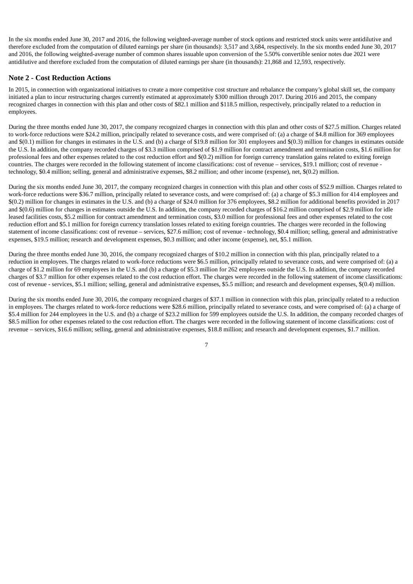In the six months ended June 30, 2017 and 2016, the following weighted-average number of stock options and restricted stock units were antidilutive and therefore excluded from the computation of diluted earnings per share (in thousands): 3,517 and 3,684, respectively. In the six months ended June 30, 2017 and 2016, the following weighted-average number of common shares issuable upon conversion of the 5.50% convertible senior notes due 2021 were antidilutive and therefore excluded from the computation of diluted earnings per share (in thousands): 21,868 and 12,593, respectively.

## **Note 2 - Cost Reduction Actions**

In 2015, in connection with organizational initiatives to create a more competitive cost structure and rebalance the company's global skill set, the company initiated a plan to incur restructuring charges currently estimated at approximately \$300 million through 2017. During 2016 and 2015, the company recognized charges in connection with this plan and other costs of \$82.1 million and \$118.5 million, respectively, principally related to a reduction in employees.

During the three months ended June 30, 2017, the company recognized charges in connection with this plan and other costs of \$27.5 million. Charges related to work-force reductions were \$24.2 million, principally related to severance costs, and were comprised of: (a) a charge of \$4.8 million for 369 employees and \$(0.1) million for changes in estimates in the U.S. and (b) a charge of \$19.8 million for 301 employees and \$(0.3) million for changes in estimates outside the U.S. In addition, the company recorded charges of \$3.3 million comprised of \$1.9 million for contract amendment and termination costs, \$1.6 million for professional fees and other expenses related to the cost reduction effort and \$(0.2) million for foreign currency translation gains related to exiting foreign countries. The charges were recorded in the following statement of income classifications: cost of revenue – services, \$19.1 million; cost of revenue technology, \$0.4 million; selling, general and administrative expenses, \$8.2 million; and other income (expense), net, \$(0.2) million.

During the six months ended June 30, 2017, the company recognized charges in connection with this plan and other costs of \$52.9 million. Charges related to work-force reductions were \$36.7 million, principally related to severance costs, and were comprised of: (a) a charge of \$5.3 million for 414 employees and \$(0.2) million for changes in estimates in the U.S. and (b) a charge of \$24.0 million for 376 employees, \$8.2 million for additional benefits provided in 2017 and \$(0.6) million for changes in estimates outside the U.S. In addition, the company recorded charges of \$16.2 million comprised of \$2.9 million for idle leased facilities costs, \$5.2 million for contract amendment and termination costs, \$3.0 million for professional fees and other expenses related to the cost reduction effort and \$5.1 million for foreign currency translation losses related to exiting foreign countries. The charges were recorded in the following statement of income classifications: cost of revenue – services, \$27.6 million; cost of revenue - technology, \$0.4 million; selling, general and administrative expenses, \$19.5 million; research and development expenses, \$0.3 million; and other income (expense), net, \$5.1 million.

During the three months ended June 30, 2016, the company recognized charges of \$10.2 million in connection with this plan, principally related to a reduction in employees. The charges related to work-force reductions were \$6.5 million, principally related to severance costs, and were comprised of: (a) a charge of \$1.2 million for 69 employees in the U.S. and (b) a charge of \$5.3 million for 262 employees outside the U.S. In addition, the company recorded charges of \$3.7 million for other expenses related to the cost reduction effort. The charges were recorded in the following statement of income classifications: cost of revenue - services, \$5.1 million; selling, general and administrative expenses, \$5.5 million; and research and development expenses, \$(0.4) million.

During the six months ended June 30, 2016, the company recognized charges of \$37.1 million in connection with this plan, principally related to a reduction in employees. The charges related to work-force reductions were \$28.6 million, principally related to severance costs, and were comprised of: (a) a charge of \$5.4 million for 244 employees in the U.S. and (b) a charge of \$23.2 million for 599 employees outside the U.S. In addition, the company recorded charges of \$8.5 million for other expenses related to the cost reduction effort. The charges were recorded in the following statement of income classifications: cost of revenue – services, \$16.6 million; selling, general and administrative expenses, \$18.8 million; and research and development expenses, \$1.7 million.

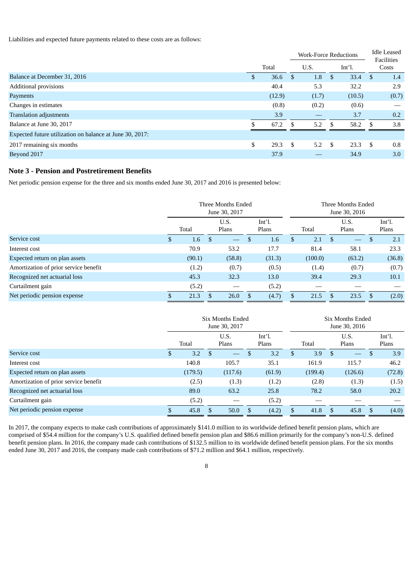Liabilities and expected future payments related to these costs are as follows:

|                                                          |     |        |     | <b>Work-Force Reductions</b> |               | <b>Idle Leased</b><br><b>Facilities</b> |     |       |  |
|----------------------------------------------------------|-----|--------|-----|------------------------------|---------------|-----------------------------------------|-----|-------|--|
|                                                          |     | Total  |     | U.S.                         | Int'l.        |                                         |     | Costs |  |
| Balance at December 31, 2016                             | \$. | 36.6   | S   | 1.8                          | -S            | 33.4                                    | -\$ | 1.4   |  |
| Additional provisions                                    |     | 40.4   |     | 5.3                          |               | 32.2                                    |     | 2.9   |  |
| Payments                                                 |     | (12.9) |     | (1.7)                        |               | (10.5)                                  |     | (0.7) |  |
| Changes in estimates                                     |     | (0.8)  |     | (0.2)                        |               | (0.6)                                   |     |       |  |
| Translation adjustments                                  |     | 3.9    |     |                              |               | 3.7                                     |     | 0.2   |  |
| Balance at June 30, 2017                                 |     | 67.2   | \$. | 5.2                          | <sup>\$</sup> | 58.2                                    |     | 3.8   |  |
| Expected future utilization on balance at June 30, 2017: |     |        |     |                              |               |                                         |     |       |  |
| 2017 remaining six months                                | \$  | 29.3   | \$  | 5.2                          | \$            | 23.3                                    | -S  | 0.8   |  |
| Beyond 2017                                              |     | 37.9   |     |                              |               | 34.9                                    |     | 3.0   |  |
|                                                          |     |        |     |                              |               |                                         |     |       |  |

## **Note 3 - Pension and Postretirement Benefits**

Net periodic pension expense for the three and six months ended June 30, 2017 and 2016 is presented below:

|                                       | Three Months Ended<br>June 30, 2017 |        |      |               |    |                 |     | Three Months Ended<br>June 30, 2016 |      |               |   |                 |  |  |
|---------------------------------------|-------------------------------------|--------|------|---------------|----|-----------------|-----|-------------------------------------|------|---------------|---|-----------------|--|--|
|                                       |                                     | Total  |      | U.S.<br>Plans |    | Int'l.<br>Plans |     | Total                               |      | U.S.<br>Plans |   | Int'l.<br>Plans |  |  |
| Service cost                          | \$                                  | 1.6    | - \$ |               | S  | 1.6             | S   | 2.1                                 | - \$ | $\frac{1}{2}$ | S | 2.1             |  |  |
| Interest cost                         |                                     | 70.9   |      | 53.2          |    | 17.7            |     | 81.4                                |      | 58.1          |   | 23.3            |  |  |
| Expected return on plan assets        |                                     | (90.1) |      | (58.8)        |    | (31.3)          |     | (100.0)                             |      | (63.2)        |   | (36.8)          |  |  |
| Amortization of prior service benefit |                                     | (1.2)  |      | (0.7)         |    | (0.5)           |     | (1.4)                               |      | (0.7)         |   | (0.7)           |  |  |
| Recognized net actuarial loss         |                                     | 45.3   |      | 32.3          |    | 13.0            |     | 39.4                                |      | 29.3          |   | 10.1            |  |  |
| Curtailment gain                      |                                     | (5.2)  |      |               |    | (5.2)           |     |                                     |      |               |   |                 |  |  |
| Net periodic pension expense          |                                     | 21.3   | S    | 26.0          | .S | (4.7)           | \$. | 21.5                                |      | 23.5          |   | (2.0)           |  |  |

|                                       | <b>Six Months Ended</b><br>June 30, 2017 |         |    |               |    |                 |               | Six Months Ended<br>June 30, 2016 |     |                          |  |                 |  |  |
|---------------------------------------|------------------------------------------|---------|----|---------------|----|-----------------|---------------|-----------------------------------|-----|--------------------------|--|-----------------|--|--|
|                                       |                                          | Total   |    | U.S.<br>Plans |    | Int'l.<br>Plans |               | Total                             |     | U.S.<br>Plans            |  | Int'l.<br>Plans |  |  |
| Service cost                          | \$                                       | 3.2     | -S |               | S  | 3.2             | <sup>\$</sup> | 3.9                               | -\$ | $\overline{\phantom{0}}$ |  | 3.9             |  |  |
| Interest cost                         |                                          | 140.8   |    | 105.7         |    | 35.1            |               | 161.9                             |     | 115.7                    |  | 46.2            |  |  |
| Expected return on plan assets        |                                          | (179.5) |    | (117.6)       |    | (61.9)          |               | (199.4)                           |     | (126.6)                  |  | (72.8)          |  |  |
| Amortization of prior service benefit |                                          | (2.5)   |    | (1.3)         |    | (1.2)           |               | (2.8)                             |     | (1.3)                    |  | (1.5)           |  |  |
| Recognized net actuarial loss         |                                          | 89.0    |    | 63.2          |    | 25.8            |               | 78.2                              |     | 58.0                     |  | 20.2            |  |  |
| Curtailment gain                      |                                          | (5.2)   |    |               |    | (5.2)           |               |                                   |     |                          |  |                 |  |  |
| Net periodic pension expense          |                                          | 45.8    | ß. | 50.0          | .S | (4.2)           | \$            | 41.8                              |     | 45.8                     |  | (4.0)           |  |  |

In 2017, the company expects to make cash contributions of approximately \$141.0 million to its worldwide defined benefit pension plans, which are comprised of \$54.4 million for the company's U.S. qualified defined benefit pension plan and \$86.6 million primarily for the company's non-U.S. defined benefit pension plans. In 2016, the company made cash contributions of \$132.5 million to its worldwide defined benefit pension plans. For the six months ended June 30, 2017 and 2016, the company made cash contributions of \$71.2 million and \$64.1 million, respectively.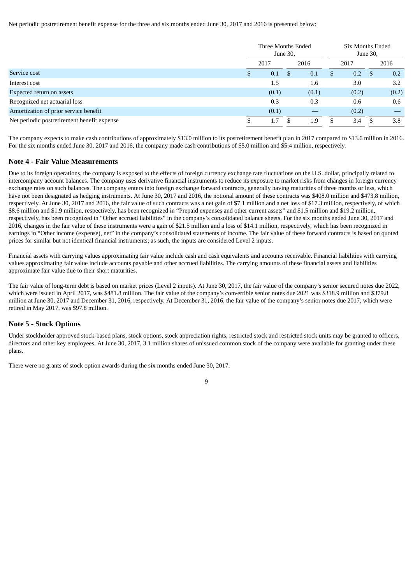Net periodic postretirement benefit expense for the three and six months ended June 30, 2017 and 2016 is presented below:

|                                             | Three Months Ended | June 30, |       |      |       | June 30, | Six Months Ended |  |
|---------------------------------------------|--------------------|----------|-------|------|-------|----------|------------------|--|
|                                             | 2017               | 2016     |       | 2017 |       | 2016     |                  |  |
| Service cost                                | 0.1                |          | 0.1   | S.   | 0.2   | -8       | 0.2              |  |
| Interest cost                               | 1.5                |          | 1.6   |      | 3.0   |          | 3.2              |  |
| Expected return on assets                   | (0.1)              |          | (0.1) |      | (0.2) |          | (0.2)            |  |
| Recognized net actuarial loss               | 0.3                |          | 0.3   |      | 0.6   |          | 0.6              |  |
| Amortization of prior service benefit       | (0.1)              |          |       |      | (0.2) |          |                  |  |
| Net periodic postretirement benefit expense | 1.7                |          | 1.9   |      | 3.4   |          | 3.8              |  |

The company expects to make cash contributions of approximately \$13.0 million to its postretirement benefit plan in 2017 compared to \$13.6 million in 2016. For the six months ended June 30, 2017 and 2016, the company made cash contributions of \$5.0 million and \$5.4 million, respectively.

### **Note 4 - Fair Value Measurements**

Due to its foreign operations, the company is exposed to the effects of foreign currency exchange rate fluctuations on the U.S. dollar, principally related to intercompany account balances. The company uses derivative financial instruments to reduce its exposure to market risks from changes in foreign currency exchange rates on such balances. The company enters into foreign exchange forward contracts, generally having maturities of three months or less, which have not been designated as hedging instruments. At June 30, 2017 and 2016, the notional amount of these contracts was \$408.0 million and \$473.8 million, respectively. At June 30, 2017 and 2016, the fair value of such contracts was a net gain of \$7.1 million and a net loss of \$17.3 million, respectively, of which \$8.6 million and \$1.9 million, respectively, has been recognized in "Prepaid expenses and other current assets" and \$1.5 million and \$19.2 million, respectively, has been recognized in "Other accrued liabilities" in the company's consolidated balance sheets. For the six months ended June 30, 2017 and 2016, changes in the fair value of these instruments were a gain of \$21.5 million and a loss of \$14.1 million, respectively, which has been recognized in earnings in "Other income (expense), net" in the company's consolidated statements of income. The fair value of these forward contracts is based on quoted prices for similar but not identical financial instruments; as such, the inputs are considered Level 2 inputs.

Financial assets with carrying values approximating fair value include cash and cash equivalents and accounts receivable. Financial liabilities with carrying values approximating fair value include accounts payable and other accrued liabilities. The carrying amounts of these financial assets and liabilities approximate fair value due to their short maturities.

The fair value of long-term debt is based on market prices (Level 2 inputs). At June 30, 2017, the fair value of the company's senior secured notes due 2022, which were issued in April 2017, was \$481.8 million. The fair value of the company's convertible senior notes due 2021 was \$318.9 million and \$379.8 million at June 30, 2017 and December 31, 2016, respectively. At December 31, 2016, the fair value of the company's senior notes due 2017, which were retired in May 2017, was \$97.8 million.

## **Note 5 - Stock Options**

Under stockholder approved stock-based plans, stock options, stock appreciation rights, restricted stock and restricted stock units may be granted to officers, directors and other key employees. At June 30, 2017, 3.1 million shares of unissued common stock of the company were available for granting under these plans.

There were no grants of stock option awards during the six months ended June 30, 2017.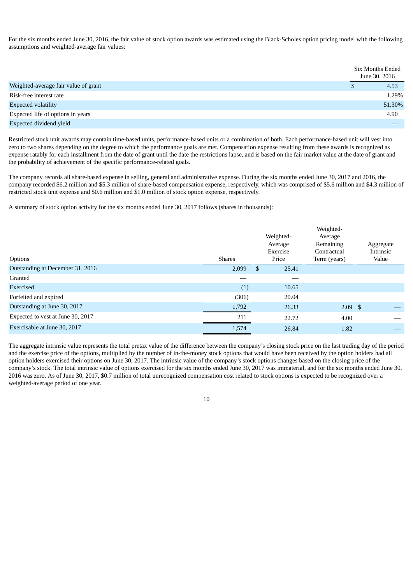For the six months ended June 30, 2016, the fair value of stock option awards was estimated using the Black-Scholes option pricing model with the following assumptions and weighted-average fair values:

|                                      |   | <b>Six Months Ended</b><br>June 30, 2016 |
|--------------------------------------|---|------------------------------------------|
| Weighted-average fair value of grant | S | 4.53                                     |
| Risk-free interest rate              |   | 1.29%                                    |
| <b>Expected volatility</b>           |   | 51.30%                                   |
| Expected life of options in years    |   | 4.90                                     |
| Expected dividend yield              |   |                                          |

Restricted stock unit awards may contain time-based units, performance-based units or a combination of both. Each performance-based unit will vest into zero to two shares depending on the degree to which the performance goals are met. Compensation expense resulting from these awards is recognized as expense ratably for each installment from the date of grant until the date the restrictions lapse, and is based on the fair market value at the date of grant and the probability of achievement of the specific performance-related goals.

The company records all share-based expense in selling, general and administrative expense. During the six months ended June 30, 2017 and 2016, the company recorded \$6.2 million and \$5.3 million of share-based compensation expense, respectively, which was comprised of \$5.6 million and \$4.3 million of restricted stock unit expense and \$0.6 million and \$1.0 million of stock option expense, respectively.

A summary of stock option activity for the six months ended June 30, 2017 follows (shares in thousands):

| Options                           | <b>Shares</b> | Weighted-<br>Average<br>Exercise<br>Price | Weighted-<br>Average<br>Remaining<br>Contractual<br>Term (years) | Aggregate<br>Intrinsic<br>Value |
|-----------------------------------|---------------|-------------------------------------------|------------------------------------------------------------------|---------------------------------|
|                                   |               |                                           |                                                                  |                                 |
| Outstanding at December 31, 2016  | 2,099         | \$<br>25.41                               |                                                                  |                                 |
| Granted                           |               |                                           |                                                                  |                                 |
| Exercised                         | (1)           | 10.65                                     |                                                                  |                                 |
| Forfeited and expired             | (306)         | 20.04                                     |                                                                  |                                 |
| Outstanding at June 30, 2017      | 1,792         | 26.33                                     | $2.09$ \$                                                        |                                 |
| Expected to vest at June 30, 2017 | 211           | 22.72                                     | 4.00                                                             |                                 |
| Exercisable at June 30, 2017      | 1,574         | 26.84                                     | 1.82                                                             |                                 |

The aggregate intrinsic value represents the total pretax value of the difference between the company's closing stock price on the last trading day of the period and the exercise price of the options, multiplied by the number of in-the-money stock options that would have been received by the option holders had all option holders exercised their options on June 30, 2017. The intrinsic value of the company's stock options changes based on the closing price of the company's stock. The total intrinsic value of options exercised for the six months ended June 30, 2017 was immaterial, and for the six months ended June 30, 2016 was zero. As of June 30, 2017, \$0.7 million of total unrecognized compensation cost related to stock options is expected to be recognized over a weighted-average period of one year.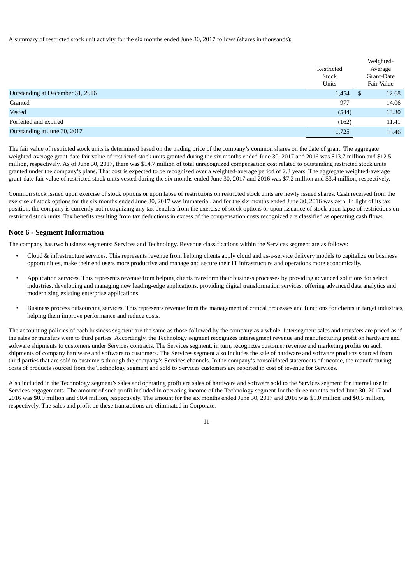A summary of restricted stock unit activity for the six months ended June 30, 2017 follows (shares in thousands):

|                                  | Restricted<br>Stock<br>Units |     | Weighted-<br>Average<br>Grant-Date<br>Fair Value |
|----------------------------------|------------------------------|-----|--------------------------------------------------|
| Outstanding at December 31, 2016 | 1,454                        | - S | 12.68                                            |
| Granted                          | 977                          |     | 14.06                                            |
| Vested                           | (544)                        |     | 13.30                                            |
| Forfeited and expired            | (162)                        |     | 11.41                                            |
| Outstanding at June 30, 2017     | 1,725                        |     | 13.46                                            |

The fair value of restricted stock units is determined based on the trading price of the company's common shares on the date of grant. The aggregate weighted-average grant-date fair value of restricted stock units granted during the six months ended June 30, 2017 and 2016 was \$13.7 million and \$12.5 million, respectively. As of June 30, 2017, there was \$14.7 million of total unrecognized compensation cost related to outstanding restricted stock units granted under the company's plans. That cost is expected to be recognized over a weighted-average period of 2.3 years. The aggregate weighted-average grant-date fair value of restricted stock units vested during the six months ended June 30, 2017 and 2016 was \$7.2 million and \$3.4 million, respectively.

Common stock issued upon exercise of stock options or upon lapse of restrictions on restricted stock units are newly issued shares. Cash received from the exercise of stock options for the six months ended June 30, 2017 was immaterial, and for the six months ended June 30, 2016 was zero. In light of its tax position, the company is currently not recognizing any tax benefits from the exercise of stock options or upon issuance of stock upon lapse of restrictions on restricted stock units. Tax benefits resulting from tax deductions in excess of the compensation costs recognized are classified as operating cash flows.

### **Note 6 - Segment Information**

The company has two business segments: Services and Technology. Revenue classifications within the Services segment are as follows:

- Cloud & infrastructure services. This represents revenue from helping clients apply cloud and as-a-service delivery models to capitalize on business opportunities, make their end users more productive and manage and secure their IT infrastructure and operations more economically.
- Application services. This represents revenue from helping clients transform their business processes by providing advanced solutions for select industries, developing and managing new leading-edge applications, providing digital transformation services, offering advanced data analytics and modernizing existing enterprise applications.
- Business process outsourcing services. This represents revenue from the management of critical processes and functions for clients in target industries, helping them improve performance and reduce costs.

The accounting policies of each business segment are the same as those followed by the company as a whole. Intersegment sales and transfers are priced as if the sales or transfers were to third parties. Accordingly, the Technology segment recognizes intersegment revenue and manufacturing profit on hardware and software shipments to customers under Services contracts. The Services segment, in turn, recognizes customer revenue and marketing profits on such shipments of company hardware and software to customers. The Services segment also includes the sale of hardware and software products sourced from third parties that are sold to customers through the company's Services channels. In the company's consolidated statements of income, the manufacturing costs of products sourced from the Technology segment and sold to Services customers are reported in cost of revenue for Services.

Also included in the Technology segment's sales and operating profit are sales of hardware and software sold to the Services segment for internal use in Services engagements. The amount of such profit included in operating income of the Technology segment for the three months ended June 30, 2017 and 2016 was \$0.9 million and \$0.4 million, respectively. The amount for the six months ended June 30, 2017 and 2016 was \$1.0 million and \$0.5 million, respectively. The sales and profit on these transactions are eliminated in Corporate.

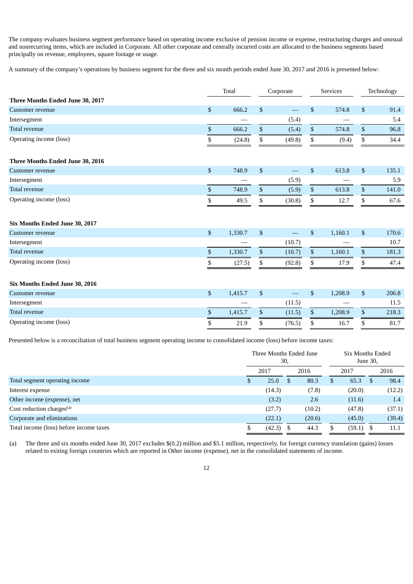The company evaluates business segment performance based on operating income exclusive of pension income or expense, restructuring charges and unusual and nonrecurring items, which are included in Corporate. All other corporate and centrally incurred costs are allocated to the business segments based principally on revenue, employees, square footage or usage.

A summary of the company's operations by business segment for the three and six month periods ended June 30, 2017 and 2016 is presented below:

|             |         |              | Corporate |      | <b>Services</b> |      | Technology |  |
|-------------|---------|--------------|-----------|------|-----------------|------|------------|--|
|             |         |              |           |      |                 |      |            |  |
| \$          | 666.2   | \$           |           | \$   | 574.8           | \$   | 91.4       |  |
|             |         |              | (5.4)     |      |                 |      | 5.4        |  |
| $\mathbb S$ | 666.2   | \$           | (5.4)     | $\$$ | 574.8           | \$   | 96.8       |  |
| \$          | (24.8)  | \$           | (49.8)    | \$   | (9.4)           | \$   | 34.4       |  |
|             |         |              |           |      |                 |      |            |  |
| \$          | 748.9   | $\mathbb{S}$ |           | \$   | 613.8           | \$   | 135.1      |  |
|             |         |              | (5.9)     |      |                 |      | 5.9        |  |
| \$          | 748.9   | $\$$         | (5.9)     | \$   | 613.8           | \$   | 141.0      |  |
| \$          | 49.5    | \$           | (30.8)    | \$   | 12.7            | \$   | 67.6       |  |
|             |         |              |           |      |                 |      |            |  |
| \$          | 1,330.7 | $\mathbb{S}$ |           | \$   | 1,160.1         | \$   | 170.6      |  |
|             |         |              | (10.7)    |      |                 |      | 10.7       |  |
| \$          | 1,330.7 | $\mathbb{S}$ | (10.7)    | $\$$ | 1,160.1         | $\$$ | 181.3      |  |
| \$          | (27.5)  | \$           | (92.8)    | \$   | 17.9            | \$   | 47.4       |  |
|             |         |              |           |      |                 |      |            |  |
| \$          | 1,415.7 | $\mathbb{S}$ |           | $\$$ | 1,208.9         | \$   | 206.8      |  |
|             |         |              | (11.5)    |      |                 |      | 11.5       |  |
| \$          | 1,415.7 | $\mathbb{S}$ | (11.5)    | $\$$ | 1,208.9         | \$   | 218.3      |  |
| \$          | 21.9    | \$           | (76.5)    | \$   | 16.7            | \$   | 81.7       |  |
|             |         |              |           |      |                 |      |            |  |

Presented below is a reconciliation of total business segment operating income to consolidated income (loss) before income taxes:

|                                         | Three Months Ended June<br>30, |        |      |        |      | Six Months Ended<br>June 30, |  |        |
|-----------------------------------------|--------------------------------|--------|------|--------|------|------------------------------|--|--------|
|                                         | 2016<br>2017                   |        | 2017 |        | 2016 |                              |  |        |
| Total segment operating income          | \$                             | 25.0   |      | 80.3   |      | 65.3                         |  | 98.4   |
| Interest expense                        |                                | (14.3) |      | (7.8)  |      | (20.0)                       |  | (12.2) |
| Other income (expense), net             |                                | (3.2)  |      | 2.6    |      | (11.6)                       |  | 1.4    |
| Cost reduction charges $(a)$            |                                | (27.7) |      | (10.2) |      | (47.8)                       |  | (37.1) |
| Corporate and eliminations              |                                | (22.1) |      | (20.6) |      | (45.0)                       |  | (39.4) |
| Total income (loss) before income taxes |                                | (42.3) |      | 44.3   |      | (59.1)                       |  | 11.1   |

(a) The three and six months ended June 30, 2017 excludes \$(0.2) million and \$5.1 million, respectively, for foreign currency translation (gains) losses related to exiting foreign countries which are reported in Other income (expense), net in the consolidated statements of income.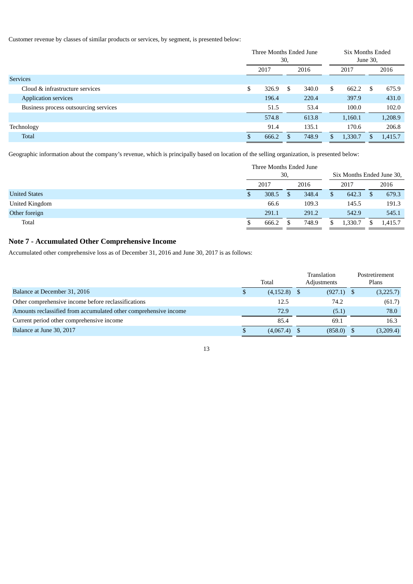Customer revenue by classes of similar products or services, by segment, is presented below:

|                                       | Three Months Ended June<br>30, |              |   |       |     | <b>Six Months Ended</b><br>June 30, |      |         |  |
|---------------------------------------|--------------------------------|--------------|---|-------|-----|-------------------------------------|------|---------|--|
|                                       |                                | 2016<br>2017 |   | 2017  |     |                                     | 2016 |         |  |
| <b>Services</b>                       |                                |              |   |       |     |                                     |      |         |  |
| Cloud & infrastructure services       | \$                             | 326.9        | S | 340.0 | \$. | 662.2                               | -S   | 675.9   |  |
| <b>Application services</b>           |                                | 196.4        |   | 220.4 |     | 397.9                               |      | 431.0   |  |
| Business process outsourcing services |                                | 51.5         |   | 53.4  |     | 100.0                               |      | 102.0   |  |
|                                       |                                | 574.8        |   | 613.8 |     | 1,160.1                             |      | 1,208.9 |  |
| Technology                            |                                | 91.4         |   | 135.1 |     | 170.6                               |      | 206.8   |  |
| Total                                 |                                | 666.2        |   | 748.9 | S.  | 1,330.7                             |      | 1,415.7 |  |

Geographic information about the company's revenue, which is principally based on location of the selling organization, is presented below:

|                       | Three Months Ended June |       |  |       |  |                           |  |         |  |
|-----------------------|-------------------------|-------|--|-------|--|---------------------------|--|---------|--|
|                       |                         | 30,   |  |       |  | Six Months Ended June 30, |  |         |  |
|                       |                         | 2017  |  | 2016  |  | 2017                      |  | 2016    |  |
| <b>United States</b>  |                         | 308.5 |  | 348.4 |  | 642.3                     |  | 679.3   |  |
| <b>United Kingdom</b> |                         | 66.6  |  | 109.3 |  | 145.5                     |  | 191.3   |  |
| Other foreign         |                         | 291.1 |  | 291.2 |  | 542.9                     |  | 545.1   |  |
| Total                 |                         | 666.2 |  | 748.9 |  | 1,330.7                   |  | 1,415.7 |  |

## **Note 7 - Accumulated Other Comprehensive Income**

Accumulated other comprehensive loss as of December 31, 2016 and June 30, 2017 is as follows:

|                                                                  | Total            | Translation<br>Adjustments | Postretirement<br>Plans |
|------------------------------------------------------------------|------------------|----------------------------|-------------------------|
| Balance at December 31, 2016                                     | \$<br>(4, 152.8) | $(927.1)$ \$               | (3,225.7)               |
| Other comprehensive income before reclassifications              | 12.5             | 74.2                       | (61.7)                  |
| Amounts reclassified from accumulated other comprehensive income | 72.9             | (5.1)                      | 78.0                    |
| Current period other comprehensive income                        | 85.4             | 69.1                       | 16.3                    |
| Balance at June 30, 2017                                         | (4,067.4)        | (858.0)                    | (3,209.4)               |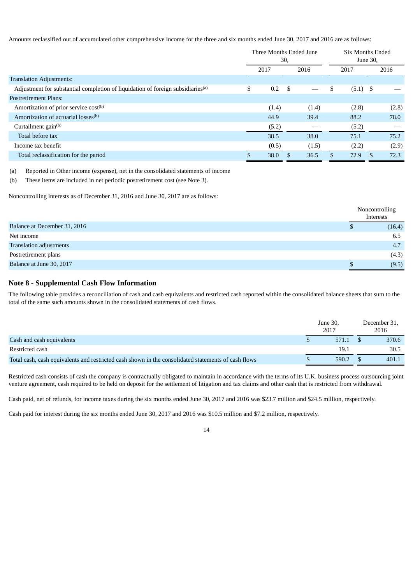Amounts reclassified out of accumulated other comprehensive income for the three and six months ended June 30, 2017 and 2016 are as follows:

|                                                                                             | Three Months Ended June<br>30, |       |      |       |    | <b>Six Months Ended</b> | June 30, |       |
|---------------------------------------------------------------------------------------------|--------------------------------|-------|------|-------|----|-------------------------|----------|-------|
|                                                                                             | 2017<br>2016                   |       | 2017 |       |    | 2016                    |          |       |
| <b>Translation Adjustments:</b>                                                             |                                |       |      |       |    |                         |          |       |
| Adjustment for substantial completion of liquidation of foreign subsidiaries <sup>(a)</sup> | \$                             | 0.2   | - \$ |       | \$ | $(5.1)$ \$              |          |       |
| <b>Postretirement Plans:</b>                                                                |                                |       |      |       |    |                         |          |       |
| Amortization of prior service cost(b)                                                       |                                | (1.4) |      | (1.4) |    | (2.8)                   |          | (2.8) |
| Amortization of actuarial losses <sup>(b)</sup>                                             |                                | 44.9  |      | 39.4  |    | 88.2                    |          | 78.0  |
| Curtailment gain <sup>(b)</sup>                                                             |                                | (5.2) |      |       |    | (5.2)                   |          |       |
| Total before tax                                                                            |                                | 38.5  |      | 38.0  |    | 75.1                    |          | 75.2  |
| Income tax benefit                                                                          |                                | (0.5) |      | (1.5) |    | (2.2)                   |          | (2.9) |
| Total reclassification for the period                                                       | .S                             | 38.0  |      | 36.5  |    | 72.9                    |          | 72.3  |

(a) Reported in Other income (expense), net in the consolidated statements of income

(b) These items are included in net periodic postretirement cost (see Note 3).

Noncontrolling interests as of December 31, 2016 and June 30, 2017 are as follows:

|                                | Noncontrolling<br>Interests |  |
|--------------------------------|-----------------------------|--|
| Balance at December 31, 2016   | (16.4)                      |  |
| Net income                     | 6.5                         |  |
| <b>Translation adjustments</b> | 4.7                         |  |
| Postretirement plans           | (4.3)                       |  |
| Balance at June 30, 2017       | (9.5)                       |  |

## **Note 8 - Supplemental Cash Flow Information**

The following table provides a reconciliation of cash and cash equivalents and restricted cash reported within the consolidated balance sheets that sum to the total of the same such amounts shown in the consolidated statements of cash flows.

|                                                                                                     | June 30,<br>2017 | December 31,<br>2016 |       |
|-----------------------------------------------------------------------------------------------------|------------------|----------------------|-------|
| Cash and cash equivalents                                                                           | 571.1            |                      | 370.6 |
| Restricted cash                                                                                     | 19.1             |                      | 30.5  |
| Total cash, cash equivalents and restricted cash shown in the consolidated statements of cash flows | 590.2            |                      | 401.1 |

Restricted cash consists of cash the company is contractually obligated to maintain in accordance with the terms of its U.K. business process outsourcing joint venture agreement, cash required to be held on deposit for the settlement of litigation and tax claims and other cash that is restricted from withdrawal.

Cash paid, net of refunds, for income taxes during the six months ended June 30, 2017 and 2016 was \$23.7 million and \$24.5 million, respectively.

Cash paid for interest during the six months ended June 30, 2017 and 2016 was \$10.5 million and \$7.2 million, respectively.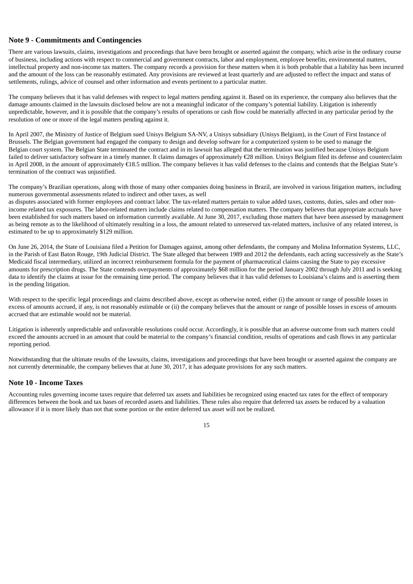## **Note 9 - Commitments and Contingencies**

There are various lawsuits, claims, investigations and proceedings that have been brought or asserted against the company, which arise in the ordinary course of business, including actions with respect to commercial and government contracts, labor and employment, employee benefits, environmental matters, intellectual property and non-income tax matters. The company records a provision for these matters when it is both probable that a liability has been incurred and the amount of the loss can be reasonably estimated. Any provisions are reviewed at least quarterly and are adjusted to reflect the impact and status of settlements, rulings, advice of counsel and other information and events pertinent to a particular matter.

The company believes that it has valid defenses with respect to legal matters pending against it. Based on its experience, the company also believes that the damage amounts claimed in the lawsuits disclosed below are not a meaningful indicator of the company's potential liability. Litigation is inherently unpredictable, however, and it is possible that the company's results of operations or cash flow could be materially affected in any particular period by the resolution of one or more of the legal matters pending against it.

In April 2007, the Ministry of Justice of Belgium sued Unisys Belgium SA-NV, a Unisys subsidiary (Unisys Belgium), in the Court of First Instance of Brussels. The Belgian government had engaged the company to design and develop software for a computerized system to be used to manage the Belgian court system. The Belgian State terminated the contract and in its lawsuit has alleged that the termination was justified because Unisys Belgium failed to deliver satisfactory software in a timely manner. It claims damages of approximately €28 million. Unisys Belgium filed its defense and counterclaim in April 2008, in the amount of approximately €18.5 million. The company believes it has valid defenses to the claims and contends that the Belgian State's termination of the contract was unjustified.

The company's Brazilian operations, along with those of many other companies doing business in Brazil, are involved in various litigation matters, including numerous governmental assessments related to indirect and other taxes, as well

as disputes associated with former employees and contract labor. The tax-related matters pertain to value added taxes, customs, duties, sales and other nonincome related tax exposures. The labor-related matters include claims related to compensation matters. The company believes that appropriate accruals have been established for such matters based on information currently available. At June 30, 2017, excluding those matters that have been assessed by management as being remote as to the likelihood of ultimately resulting in a loss, the amount related to unreserved tax-related matters, inclusive of any related interest, is estimated to be up to approximately \$129 million.

On June 26, 2014, the State of Louisiana filed a Petition for Damages against, among other defendants, the company and Molina Information Systems, LLC, in the Parish of East Baton Rouge, 19th Judicial District. The State alleged that between 1989 and 2012 the defendants, each acting successively as the State's Medicaid fiscal intermediary, utilized an incorrect reimbursement formula for the payment of pharmaceutical claims causing the State to pay excessive amounts for prescription drugs. The State contends overpayments of approximately \$68 million for the period January 2002 through July 2011 and is seeking data to identify the claims at issue for the remaining time period. The company believes that it has valid defenses to Louisiana's claims and is asserting them in the pending litigation.

With respect to the specific legal proceedings and claims described above, except as otherwise noted, either (i) the amount or range of possible losses in excess of amounts accrued, if any, is not reasonably estimable or (ii) the company believes that the amount or range of possible losses in excess of amounts accrued that are estimable would not be material.

Litigation is inherently unpredictable and unfavorable resolutions could occur. Accordingly, it is possible that an adverse outcome from such matters could exceed the amounts accrued in an amount that could be material to the company's financial condition, results of operations and cash flows in any particular reporting period.

Notwithstanding that the ultimate results of the lawsuits, claims, investigations and proceedings that have been brought or asserted against the company are not currently determinable, the company believes that at June 30, 2017, it has adequate provisions for any such matters.

## **Note 10 - Income Taxes**

Accounting rules governing income taxes require that deferred tax assets and liabilities be recognized using enacted tax rates for the effect of temporary differences between the book and tax bases of recorded assets and liabilities. These rules also require that deferred tax assets be reduced by a valuation allowance if it is more likely than not that some portion or the entire deferred tax asset will not be realized.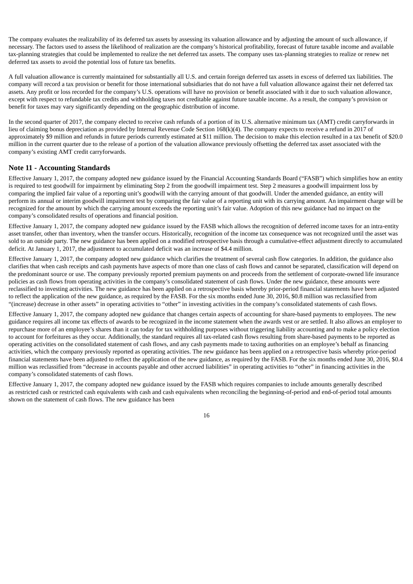The company evaluates the realizability of its deferred tax assets by assessing its valuation allowance and by adjusting the amount of such allowance, if necessary. The factors used to assess the likelihood of realization are the company's historical profitability, forecast of future taxable income and available tax-planning strategies that could be implemented to realize the net deferred tax assets. The company uses tax-planning strategies to realize or renew net deferred tax assets to avoid the potential loss of future tax benefits.

A full valuation allowance is currently maintained for substantially all U.S. and certain foreign deferred tax assets in excess of deferred tax liabilities. The company will record a tax provision or benefit for those international subsidiaries that do not have a full valuation allowance against their net deferred tax assets. Any profit or loss recorded for the company's U.S. operations will have no provision or benefit associated with it due to such valuation allowance, except with respect to refundable tax credits and withholding taxes not creditable against future taxable income. As a result, the company's provision or benefit for taxes may vary significantly depending on the geographic distribution of income.

In the second quarter of 2017, the company elected to receive cash refunds of a portion of its U.S. alternative minimum tax (AMT) credit carryforwards in lieu of claiming bonus depreciation as provided by Internal Revenue Code Section 168(k)(4). The company expects to receive a refund in 2017 of approximately \$9 million and refunds in future periods currently estimated at \$11 million. The decision to make this election resulted in a tax benefit of \$20.0 million in the current quarter due to the release of a portion of the valuation allowance previously offsetting the deferred tax asset associated with the company's existing AMT credit carryforwards.

## **Note 11 - Accounting Standards**

Effective January 1, 2017, the company adopted new guidance issued by the Financial Accounting Standards Board ("FASB") which simplifies how an entity is required to test goodwill for impairment by eliminating Step 2 from the goodwill impairment test. Step 2 measures a goodwill impairment loss by comparing the implied fair value of a reporting unit's goodwill with the carrying amount of that goodwill. Under the amended guidance, an entity will perform its annual or interim goodwill impairment test by comparing the fair value of a reporting unit with its carrying amount. An impairment charge will be recognized for the amount by which the carrying amount exceeds the reporting unit's fair value. Adoption of this new guidance had no impact on the company's consolidated results of operations and financial position.

Effective January 1, 2017, the company adopted new guidance issued by the FASB which allows the recognition of deferred income taxes for an intra-entity asset transfer, other than inventory, when the transfer occurs. Historically, recognition of the income tax consequence was not recognized until the asset was sold to an outside party. The new guidance has been applied on a modified retrospective basis through a cumulative-effect adjustment directly to accumulated deficit. At January 1, 2017, the adjustment to accumulated deficit was an increase of \$4.4 million.

Effective January 1, 2017, the company adopted new guidance which clarifies the treatment of several cash flow categories. In addition, the guidance also clarifies that when cash receipts and cash payments have aspects of more than one class of cash flows and cannot be separated, classification will depend on the predominant source or use. The company previously reported premium payments on and proceeds from the settlement of corporate-owned life insurance policies as cash flows from operating activities in the company's consolidated statement of cash flows. Under the new guidance, these amounts were reclassified to investing activities. The new guidance has been applied on a retrospective basis whereby prior-period financial statements have been adjusted to reflect the application of the new guidance, as required by the FASB. For the six months ended June 30, 2016, \$0.8 million was reclassified from "(increase) decrease in other assets" in operating activities to "other" in investing activities in the company's consolidated statements of cash flows.

Effective January 1, 2017, the company adopted new guidance that changes certain aspects of accounting for share-based payments to employees. The new guidance requires all income tax effects of awards to be recognized in the income statement when the awards vest or are settled. It also allows an employer to repurchase more of an employee's shares than it can today for tax withholding purposes without triggering liability accounting and to make a policy election to account for forfeitures as they occur. Additionally, the standard requires all tax-related cash flows resulting from share-based payments to be reported as operating activities on the consolidated statement of cash flows, and any cash payments made to taxing authorities on an employee's behalf as financing activities, which the company previously reported as operating activities. The new guidance has been applied on a retrospective basis whereby prior-period financial statements have been adjusted to reflect the application of the new guidance, as required by the FASB. For the six months ended June 30, 2016, \$0.4 million was reclassified from "decrease in accounts payable and other accrued liabilities" in operating activities to "other" in financing activities in the company's consolidated statements of cash flows.

Effective January 1, 2017, the company adopted new guidance issued by the FASB which requires companies to include amounts generally described as restricted cash or restricted cash equivalents with cash and cash equivalents when reconciling the beginning-of-period and end-of-period total amounts shown on the statement of cash flows. The new guidance has been

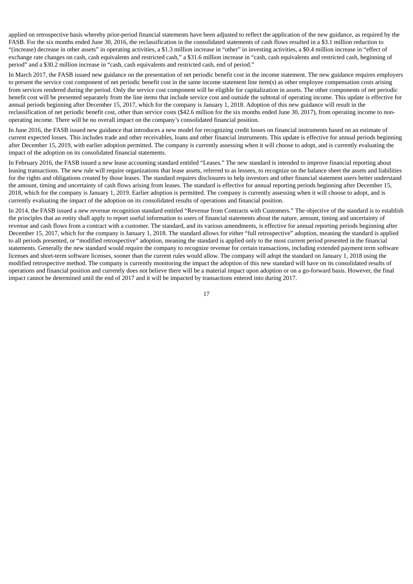applied on retrospective basis whereby prior-period financial statements have been adjusted to reflect the application of the new guidance, as required by the FASB. For the six months ended June 30, 2016, the reclassification in the consolidated statements of cash flows resulted in a \$3.1 million reduction to "(increase) decrease in other assets" in operating activities, a \$1.3 million increase in "other" in investing activities, a \$0.4 million increase in "effect of exchange rate changes on cash, cash equivalents and restricted cash," a \$31.6 million increase in "cash, cash equivalents and restricted cash, beginning of period" and a \$30.2 million increase in "cash, cash equivalents and restricted cash, end of period."

In March 2017, the FASB issued new guidance on the presentation of net periodic benefit cost in the income statement. The new guidance requires employers to present the service cost component of net periodic benefit cost in the same income statement line item(s) as other employee compensation costs arising from services rendered during the period. Only the service cost component will be eligible for capitalization in assets. The other components of net periodic benefit cost will be presented separately from the line items that include service cost and outside the subtotal of operating income. This update is effective for annual periods beginning after December 15, 2017, which for the company is January 1, 2018. Adoption of this new guidance will result in the reclassification of net periodic benefit cost, other than service costs (\$42.6 million for the six months ended June 30, 2017), from operating income to nonoperating income. There will be no overall impact on the company's consolidated financial position.

In June 2016, the FASB issued new guidance that introduces a new model for recognizing credit losses on financial instruments based on an estimate of current expected losses. This includes trade and other receivables, loans and other financial instruments. This update is effective for annual periods beginning after December 15, 2019, with earlier adoption permitted. The company is currently assessing when it will choose to adopt, and is currently evaluating the impact of the adoption on its consolidated financial statements.

In February 2016, the FASB issued a new lease accounting standard entitled "Leases." The new standard is intended to improve financial reporting about leasing transactions. The new rule will require organizations that lease assets, referred to as lessees, to recognize on the balance sheet the assets and liabilities for the rights and obligations created by those leases. The standard requires disclosures to help investors and other financial statement users better understand the amount, timing and uncertainty of cash flows arising from leases. The standard is effective for annual reporting periods beginning after December 15, 2018, which for the company is January 1, 2019. Earlier adoption is permitted. The company is currently assessing when it will choose to adopt, and is currently evaluating the impact of the adoption on its consolidated results of operations and financial position.

In 2014, the FASB issued a new revenue recognition standard entitled "Revenue from Contracts with Customers." The objective of the standard is to establish the principles that an entity shall apply to report useful information to users of financial statements about the nature, amount, timing and uncertainty of revenue and cash flows from a contract with a customer. The standard, and its various amendments, is effective for annual reporting periods beginning after December 15, 2017, which for the company is January 1, 2018. The standard allows for either "full retrospective" adoption, meaning the standard is applied to all periods presented, or "modified retrospective" adoption, meaning the standard is applied only to the most current period presented in the financial statements. Generally the new standard would require the company to recognize revenue for certain transactions, including extended payment term software licenses and short-term software licenses, sooner than the current rules would allow. The company will adopt the standard on January 1, 2018 using the modified retrospective method. The company is currently monitoring the impact the adoption of this new standard will have on its consolidated results of operations and financial position and currently does not believe there will be a material impact upon adoption or on a go-forward basis. However, the final impact cannot be determined until the end of 2017 and it will be impacted by transactions entered into during 2017.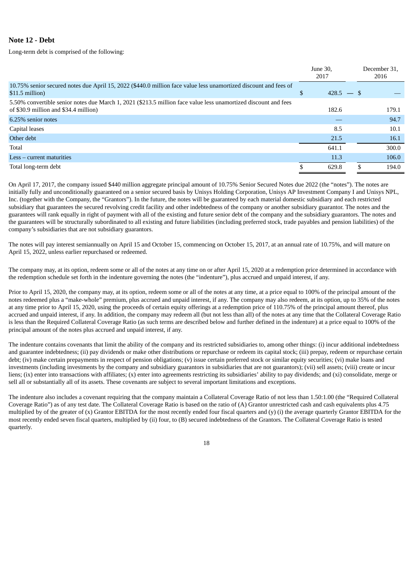### **Note 12 - Debt**

Long-term debt is comprised of the following:

|                                                                                                                                                          |    | June 30,<br>2017 |    | December 31.<br>2016 |
|----------------------------------------------------------------------------------------------------------------------------------------------------------|----|------------------|----|----------------------|
| 10.75% senior secured notes due April 15, 2022 (\$440.0 million face value less unamortized discount and fees of<br>$$11.5$ million)                     | \$ | $428.5 - $$      |    |                      |
| 5.50% convertible senior notes due March 1, 2021 (\$213.5 million face value less unamortized discount and fees<br>of \$30.9 million and \$34.4 million) |    | 182.6            |    | 179.1                |
| 6.25% senior notes                                                                                                                                       |    |                  |    | 94.7                 |
| Capital leases                                                                                                                                           |    | 8.5              |    | 10.1                 |
| Other debt                                                                                                                                               |    | 21.5             |    | 16.1                 |
| Total                                                                                                                                                    |    | 641.1            |    | 300.0                |
| $Less - current maturities$                                                                                                                              |    | 11.3             |    | 106.0                |
| Total long-term debt                                                                                                                                     |    | 629.8            | S. | 194.0                |

On April 17, 2017, the company issued \$440 million aggregate principal amount of 10.75% Senior Secured Notes due 2022 (the "notes"). The notes are initially fully and unconditionally guaranteed on a senior secured basis by Unisys Holding Corporation, Unisys AP Investment Company I and Unisys NPL, Inc. (together with the Company, the "Grantors"). In the future, the notes will be guaranteed by each material domestic subsidiary and each restricted subsidiary that guarantees the secured revolving credit facility and other indebtedness of the company or another subsidiary guarantor. The notes and the guarantees will rank equally in right of payment with all of the existing and future senior debt of the company and the subsidiary guarantors. The notes and the guarantees will be structurally subordinated to all existing and future liabilities (including preferred stock, trade payables and pension liabilities) of the company's subsidiaries that are not subsidiary guarantors.

The notes will pay interest semiannually on April 15 and October 15, commencing on October 15, 2017, at an annual rate of 10.75%, and will mature on April 15, 2022, unless earlier repurchased or redeemed.

The company may, at its option, redeem some or all of the notes at any time on or after April 15, 2020 at a redemption price determined in accordance with the redemption schedule set forth in the indenture governing the notes (the "indenture"), plus accrued and unpaid interest, if any.

Prior to April 15, 2020, the company may, at its option, redeem some or all of the notes at any time, at a price equal to 100% of the principal amount of the notes redeemed plus a "make-whole" premium, plus accrued and unpaid interest, if any. The company may also redeem, at its option, up to 35% of the notes at any time prior to April 15, 2020, using the proceeds of certain equity offerings at a redemption price of 110.75% of the principal amount thereof, plus accrued and unpaid interest, if any. In addition, the company may redeem all (but not less than all) of the notes at any time that the Collateral Coverage Ratio is less than the Required Collateral Coverage Ratio (as such terms are described below and further defined in the indenture) at a price equal to 100% of the principal amount of the notes plus accrued and unpaid interest, if any.

The indenture contains covenants that limit the ability of the company and its restricted subsidiaries to, among other things: (i) incur additional indebtedness and guarantee indebtedness; (ii) pay dividends or make other distributions or repurchase or redeem its capital stock; (iii) prepay, redeem or repurchase certain debt; (iv) make certain prepayments in respect of pension obligations; (v) issue certain preferred stock or similar equity securities; (vi) make loans and investments (including investments by the company and subsidiary guarantors in subsidiaries that are not guarantors); (vii) sell assets; (viii) create or incur liens; (ix) enter into transactions with affiliates; (x) enter into agreements restricting its subsidiaries' ability to pay dividends; and (xi) consolidate, merge or sell all or substantially all of its assets. These covenants are subject to several important limitations and exceptions.

The indenture also includes a covenant requiring that the company maintain a Collateral Coverage Ratio of not less than 1.50:1.00 (the "Required Collateral Coverage Ratio") as of any test date. The Collateral Coverage Ratio is based on the ratio of (A) Grantor unrestricted cash and cash equivalents plus 4.75 multiplied by of the greater of (x) Grantor EBITDA for the most recently ended four fiscal quarters and (y) (i) the average quarterly Grantor EBITDA for the most recently ended seven fiscal quarters, multiplied by (ii) four, to (B) secured indebtedness of the Grantors. The Collateral Coverage Ratio is tested quarterly.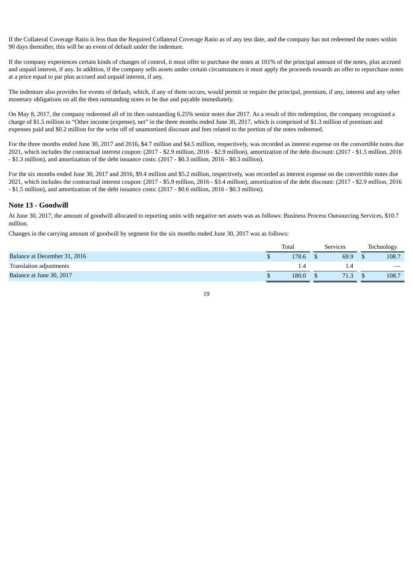If the Collateral Coverage Ratio is less than the Required Collateral Coverage Ratio as of any test date, and the company has not redeemed the notes within 90 days thereafter, this will be an event of default under the indenture.

If the company experiences certain kinds of changes of control, it must offer to purchase the notes at 101% of the principal amount of the notes, plus accrued and unpaid interest, if any. In addition, if the company sells assets under certain circumstances it must apply the proceeds towards an offer to repurchase notes at a price equal to par plus accrued and unpaid interest, if any.

The indenture also provides for events of default, which, if any of them occurs, would permit or require the principal, premium, if any, interest and any other monetary obligations on all the then outstanding notes to be due and payable immediately.

On May 8, 2017, the company redeemed all of its then outstanding 6.25% senior notes due 2017. As a result of this redemption, the company recognized a charge of \$1.5 million in "Other income (expense), net" in the three months ended June 30, 2017, which is comprised of \$1.3 million of premium and expenses paid and \$0.2 million for the write off of unamortized discount and fees related to the portion of the notes redeemed.

For the three months ended June 30, 2017 and 2016, \$4.7 million and \$4.5 million, respectively, was recorded as interest expense on the convertible notes due 2021, which includes the contractual interest coupon: (2017 - \$2.9 million, 2016 - \$2.9 million), amortization of the debt discount: (2017 - \$1.5 million, 2016 - \$1.3 million), and amortization of the debt issuance costs: (2017 - \$0.3 million, 2016 - \$0.3 million).

For the six months ended June 30, 2017 and 2016, \$9.4 million and \$5.2 million, respectively, was recorded as interest expense on the convertible notes due 2021, which includes the contractual interest coupon: (2017 - \$5.9 million, 2016 - \$3.4 million), amortization of the debt discount: (2017 - \$2.9 million, 2016 - \$1.5 million), and amortization of the debt issuance costs: (2017 - \$0.6 million, 2016 - \$0.3 million).

### **Note 13 - Goodwill**

At June 30, 2017, the amount of goodwill allocated to reporting units with negative net assets was as follows: Business Process Outsourcing Services, \$10.7 million.

Changes in the carrying amount of goodwill by segment for the six months ended June 30, 2017 was as follows:

|                              | Total |       | <b>Services</b> | Technology |                          |  |
|------------------------------|-------|-------|-----------------|------------|--------------------------|--|
| Balance at December 31, 2016 |       | 178.6 | 69.9            |            | 108.7                    |  |
| Translation adjustments      |       |       |                 |            | $\overline{\phantom{a}}$ |  |
| Balance at June 30, 2017     |       | 180.0 | 71.3            |            | 108.7                    |  |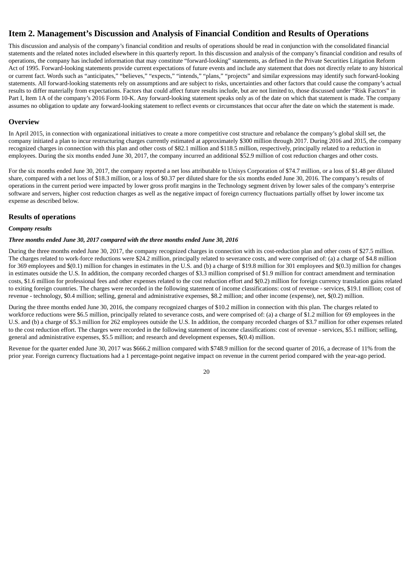## **Item 2. Management's Discussion and Analysis of Financial Condition and Results of Operations**

This discussion and analysis of the company's financial condition and results of operations should be read in conjunction with the consolidated financial statements and the related notes included elsewhere in this quarterly report. In this discussion and analysis of the company's financial condition and results of operations, the company has included information that may constitute "forward-looking" statements, as defined in the Private Securities Litigation Reform Act of 1995. Forward-looking statements provide current expectations of future events and include any statement that does not directly relate to any historical or current fact. Words such as "anticipates," "believes," "expects," "intends," "plans," "projects" and similar expressions may identify such forward-looking statements. All forward-looking statements rely on assumptions and are subject to risks, uncertainties and other factors that could cause the company's actual results to differ materially from expectations. Factors that could affect future results include, but are not limited to, those discussed under "Risk Factors" in Part I, Item 1A of the company's 2016 Form 10-K. Any forward-looking statement speaks only as of the date on which that statement is made. The company assumes no obligation to update any forward-looking statement to reflect events or circumstances that occur after the date on which the statement is made.

### **Overview**

In April 2015, in connection with organizational initiatives to create a more competitive cost structure and rebalance the company's global skill set, the company initiated a plan to incur restructuring charges currently estimated at approximately \$300 million through 2017. During 2016 and 2015, the company recognized charges in connection with this plan and other costs of \$82.1 million and \$118.5 million, respectively, principally related to a reduction in employees. During the six months ended June 30, 2017, the company incurred an additional \$52.9 million of cost reduction charges and other costs.

For the six months ended June 30, 2017, the company reported a net loss attributable to Unisys Corporation of \$74.7 million, or a loss of \$1.48 per diluted share, compared with a net loss of \$18.3 million, or a loss of \$0.37 per diluted share for the six months ended June 30, 2016. The company's results of operations in the current period were impacted by lower gross profit margins in the Technology segment driven by lower sales of the company's enterprise software and servers, higher cost reduction charges as well as the negative impact of foreign currency fluctuations partially offset by lower income tax expense as described below.

### **Results of operations**

#### *Company results*

#### *Three months ended June 30, 2017 compared with the three months ended June 30, 2016*

During the three months ended June 30, 2017, the company recognized charges in connection with its cost-reduction plan and other costs of \$27.5 million. The charges related to work-force reductions were \$24.2 million, principally related to severance costs, and were comprised of: (a) a charge of \$4.8 million for 369 employees and \$(0.1) million for changes in estimates in the U.S. and (b) a charge of \$19.8 million for 301 employees and \$(0.3) million for changes in estimates outside the U.S. In addition, the company recorded charges of \$3.3 million comprised of \$1.9 million for contract amendment and termination costs, \$1.6 million for professional fees and other expenses related to the cost reduction effort and \$(0.2) million for foreign currency translation gains related to exiting foreign countries. The charges were recorded in the following statement of income classifications: cost of revenue - services, \$19.1 million; cost of revenue - technology, \$0.4 million; selling, general and administrative expenses, \$8.2 million; and other income (expense), net, \$(0.2) million.

During the three months ended June 30, 2016, the company recognized charges of \$10.2 million in connection with this plan. The charges related to workforce reductions were \$6.5 million, principally related to severance costs, and were comprised of: (a) a charge of \$1.2 million for 69 employees in the U.S. and (b) a charge of \$5.3 million for 262 employees outside the U.S. In addition, the company recorded charges of \$3.7 million for other expenses related to the cost reduction effort. The charges were recorded in the following statement of income classifications: cost of revenue - services, \$5.1 million; selling, general and administrative expenses, \$5.5 million; and research and development expenses, \$(0.4) million.

Revenue for the quarter ended June 30, 2017 was \$666.2 million compared with \$748.9 million for the second quarter of 2016, a decrease of 11% from the prior year. Foreign currency fluctuations had a 1 percentage-point negative impact on revenue in the current period compared with the year-ago period.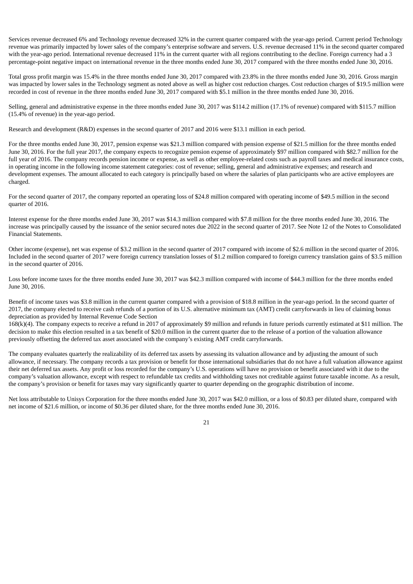Services revenue decreased 6% and Technology revenue decreased 32% in the current quarter compared with the year-ago period. Current period Technology revenue was primarily impacted by lower sales of the company's enterprise software and servers. U.S. revenue decreased 11% in the second quarter compared with the year-ago period. International revenue decreased 11% in the current quarter with all regions contributing to the decline. Foreign currency had a 3 percentage-point negative impact on international revenue in the three months ended June 30, 2017 compared with the three months ended June 30, 2016.

Total gross profit margin was 15.4% in the three months ended June 30, 2017 compared with 23.8% in the three months ended June 30, 2016. Gross margin was impacted by lower sales in the Technology segment as noted above as well as higher cost reduction charges. Cost reduction charges of \$19.5 million were recorded in cost of revenue in the three months ended June 30, 2017 compared with \$5.1 million in the three months ended June 30, 2016.

Selling, general and administrative expense in the three months ended June 30, 2017 was \$114.2 million (17.1% of revenue) compared with \$115.7 million (15.4% of revenue) in the year-ago period.

Research and development (R&D) expenses in the second quarter of 2017 and 2016 were \$13.1 million in each period.

For the three months ended June 30, 2017, pension expense was \$21.3 million compared with pension expense of \$21.5 million for the three months ended June 30, 2016. For the full year 2017, the company expects to recognize pension expense of approximately \$97 million compared with \$82.7 million for the full year of 2016. The company records pension income or expense, as well as other employee-related costs such as payroll taxes and medical insurance costs, in operating income in the following income statement categories: cost of revenue; selling, general and administrative expenses; and research and development expenses. The amount allocated to each category is principally based on where the salaries of plan participants who are active employees are charged.

For the second quarter of 2017, the company reported an operating loss of \$24.8 million compared with operating income of \$49.5 million in the second quarter of 2016.

Interest expense for the three months ended June 30, 2017 was \$14.3 million compared with \$7.8 million for the three months ended June 30, 2016. The increase was principally caused by the issuance of the senior secured notes due 2022 in the second quarter of 2017. See Note 12 of the Notes to Consolidated Financial Statements.

Other income (expense), net was expense of \$3.2 million in the second quarter of 2017 compared with income of \$2.6 million in the second quarter of 2016. Included in the second quarter of 2017 were foreign currency translation losses of \$1.2 million compared to foreign currency translation gains of \$3.5 million in the second quarter of 2016.

Loss before income taxes for the three months ended June 30, 2017 was \$42.3 million compared with income of \$44.3 million for the three months ended June 30, 2016.

Benefit of income taxes was \$3.8 million in the current quarter compared with a provision of \$18.8 million in the year-ago period. In the second quarter of 2017, the company elected to receive cash refunds of a portion of its U.S. alternative minimum tax (AMT) credit carryforwards in lieu of claiming bonus depreciation as provided by Internal Revenue Code Section

168(k)(4). The company expects to receive a refund in 2017 of approximately \$9 million and refunds in future periods currently estimated at \$11 million. The decision to make this election resulted in a tax benefit of \$20.0 million in the current quarter due to the release of a portion of the valuation allowance previously offsetting the deferred tax asset associated with the company's existing AMT credit carryforwards.

The company evaluates quarterly the realizability of its deferred tax assets by assessing its valuation allowance and by adjusting the amount of such allowance, if necessary. The company records a tax provision or benefit for those international subsidiaries that do not have a full valuation allowance against their net deferred tax assets. Any profit or loss recorded for the company's U.S. operations will have no provision or benefit associated with it due to the company's valuation allowance, except with respect to refundable tax credits and withholding taxes not creditable against future taxable income. As a result, the company's provision or benefit for taxes may vary significantly quarter to quarter depending on the geographic distribution of income.

Net loss attributable to Unisys Corporation for the three months ended June 30, 2017 was \$42.0 million, or a loss of \$0.83 per diluted share, compared with net income of \$21.6 million, or income of \$0.36 per diluted share, for the three months ended June 30, 2016.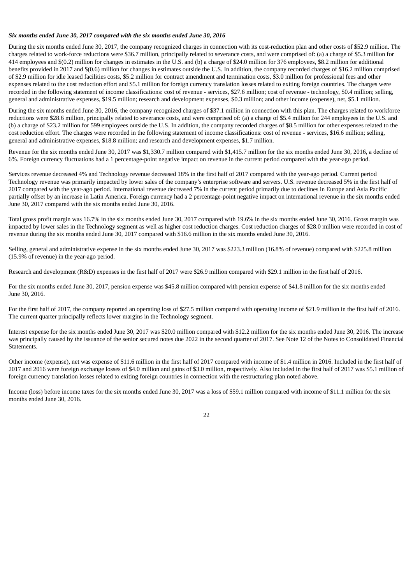#### *Six months ended June 30, 2017 compared with the six months ended June 30, 2016*

During the six months ended June 30, 2017, the company recognized charges in connection with its cost-reduction plan and other costs of \$52.9 million. The charges related to work-force reductions were \$36.7 million, principally related to severance costs, and were comprised of: (a) a charge of \$5.3 million for 414 employees and \$(0.2) million for changes in estimates in the U.S. and (b) a charge of \$24.0 million for 376 employees, \$8.2 million for additional benefits provided in 2017 and \$(0.6) million for changes in estimates outside the U.S. In addition, the company recorded charges of \$16.2 million comprised of \$2.9 million for idle leased facilities costs, \$5.2 million for contract amendment and termination costs, \$3.0 million for professional fees and other expenses related to the cost reduction effort and \$5.1 million for foreign currency translation losses related to exiting foreign countries. The charges were recorded in the following statement of income classifications: cost of revenue - services, \$27.6 million; cost of revenue - technology, \$0.4 million; selling, general and administrative expenses, \$19.5 million; research and development expenses, \$0.3 million; and other income (expense), net, \$5.1 million.

During the six months ended June 30, 2016, the company recognized charges of \$37.1 million in connection with this plan. The charges related to workforce reductions were \$28.6 million, principally related to severance costs, and were comprised of: (a) a charge of \$5.4 million for 244 employees in the U.S. and (b) a charge of \$23.2 million for 599 employees outside the U.S. In addition, the company recorded charges of \$8.5 million for other expenses related to the cost reduction effort. The charges were recorded in the following statement of income classifications: cost of revenue - services, \$16.6 million; selling, general and administrative expenses, \$18.8 million; and research and development expenses, \$1.7 million.

Revenue for the six months ended June 30, 2017 was \$1,330.7 million compared with \$1,415.7 million for the six months ended June 30, 2016, a decline of 6%. Foreign currency fluctuations had a 1 percentage-point negative impact on revenue in the current period compared with the year-ago period.

Services revenue decreased 4% and Technology revenue decreased 18% in the first half of 2017 compared with the year-ago period. Current period Technology revenue was primarily impacted by lower sales of the company's enterprise software and servers. U.S. revenue decreased 5% in the first half of 2017 compared with the year-ago period. International revenue decreased 7% in the current period primarily due to declines in Europe and Asia Pacific partially offset by an increase in Latin America. Foreign currency had a 2 percentage-point negative impact on international revenue in the six months ended June 30, 2017 compared with the six months ended June 30, 2016.

Total gross profit margin was 16.7% in the six months ended June 30, 2017 compared with 19.6% in the six months ended June 30, 2016. Gross margin was impacted by lower sales in the Technology segment as well as higher cost reduction charges. Cost reduction charges of \$28.0 million were recorded in cost of revenue during the six months ended June 30, 2017 compared with \$16.6 million in the six months ended June 30, 2016.

Selling, general and administrative expense in the six months ended June 30, 2017 was \$223.3 million (16.8% of revenue) compared with \$225.8 million (15.9% of revenue) in the year-ago period.

Research and development (R&D) expenses in the first half of 2017 were \$26.9 million compared with \$29.1 million in the first half of 2016.

For the six months ended June 30, 2017, pension expense was \$45.8 million compared with pension expense of \$41.8 million for the six months ended June 30, 2016.

For the first half of 2017, the company reported an operating loss of \$27.5 million compared with operating income of \$21.9 million in the first half of 2016. The current quarter principally reflects lower margins in the Technology segment.

Interest expense for the six months ended June 30, 2017 was \$20.0 million compared with \$12.2 million for the six months ended June 30, 2016. The increase was principally caused by the issuance of the senior secured notes due 2022 in the second quarter of 2017. See Note 12 of the Notes to Consolidated Financial Statements.

Other income (expense), net was expense of \$11.6 million in the first half of 2017 compared with income of \$1.4 million in 2016. Included in the first half of 2017 and 2016 were foreign exchange losses of \$4.0 million and gains of \$3.0 million, respectively. Also included in the first half of 2017 was \$5.1 million of foreign currency translation losses related to exiting foreign countries in connection with the restructuring plan noted above.

Income (loss) before income taxes for the six months ended June 30, 2017 was a loss of \$59.1 million compared with income of \$11.1 million for the six months ended June 30, 2016.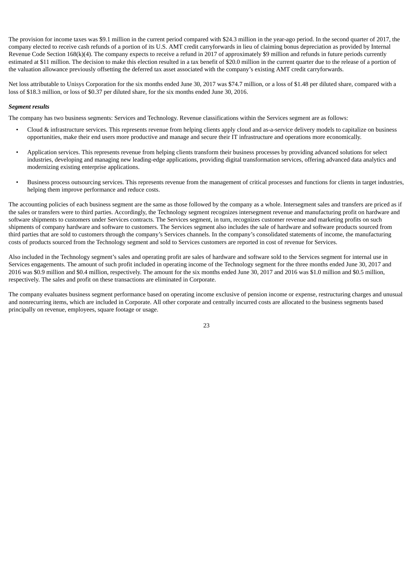The provision for income taxes was \$9.1 million in the current period compared with \$24.3 million in the year-ago period. In the second quarter of 2017, the company elected to receive cash refunds of a portion of its U.S. AMT credit carryforwards in lieu of claiming bonus depreciation as provided by Internal Revenue Code Section 168(k)(4). The company expects to receive a refund in 2017 of approximately \$9 million and refunds in future periods currently estimated at \$11 million. The decision to make this election resulted in a tax benefit of \$20.0 million in the current quarter due to the release of a portion of the valuation allowance previously offsetting the deferred tax asset associated with the company's existing AMT credit carryforwards.

Net loss attributable to Unisys Corporation for the six months ended June 30, 2017 was \$74.7 million, or a loss of \$1.48 per diluted share, compared with a loss of \$18.3 million, or loss of \$0.37 per diluted share, for the six months ended June 30, 2016.

#### *Segment results*

The company has two business segments: Services and Technology. Revenue classifications within the Services segment are as follows:

- Cloud & infrastructure services. This represents revenue from helping clients apply cloud and as-a-service delivery models to capitalize on business opportunities, make their end users more productive and manage and secure their IT infrastructure and operations more economically.
- Application services. This represents revenue from helping clients transform their business processes by providing advanced solutions for select industries, developing and managing new leading-edge applications, providing digital transformation services, offering advanced data analytics and modernizing existing enterprise applications.
- Business process outsourcing services. This represents revenue from the management of critical processes and functions for clients in target industries, helping them improve performance and reduce costs.

The accounting policies of each business segment are the same as those followed by the company as a whole. Intersegment sales and transfers are priced as if the sales or transfers were to third parties. Accordingly, the Technology segment recognizes intersegment revenue and manufacturing profit on hardware and software shipments to customers under Services contracts. The Services segment, in turn, recognizes customer revenue and marketing profits on such shipments of company hardware and software to customers. The Services segment also includes the sale of hardware and software products sourced from third parties that are sold to customers through the company's Services channels. In the company's consolidated statements of income, the manufacturing costs of products sourced from the Technology segment and sold to Services customers are reported in cost of revenue for Services.

Also included in the Technology segment's sales and operating profit are sales of hardware and software sold to the Services segment for internal use in Services engagements. The amount of such profit included in operating income of the Technology segment for the three months ended June 30, 2017 and 2016 was \$0.9 million and \$0.4 million, respectively. The amount for the six months ended June 30, 2017 and 2016 was \$1.0 million and \$0.5 million, respectively. The sales and profit on these transactions are eliminated in Corporate.

The company evaluates business segment performance based on operating income exclusive of pension income or expense, restructuring charges and unusual and nonrecurring items, which are included in Corporate. All other corporate and centrally incurred costs are allocated to the business segments based principally on revenue, employees, square footage or usage.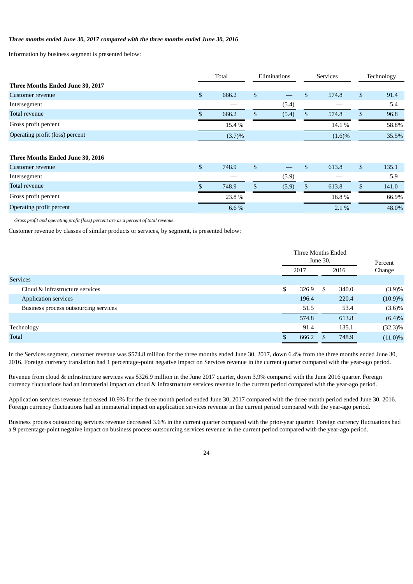#### *Three months ended June 30, 2017 compared with the three months ended June 30, 2016*

Information by business segment is presented below:

|                                  |     | Total     |                           | Eliminations |              | <b>Services</b> |    |       |  |  |  | Technology |  |
|----------------------------------|-----|-----------|---------------------------|--------------|--------------|-----------------|----|-------|--|--|--|------------|--|
| Three Months Ended June 30, 2017 |     |           |                           |              |              |                 |    |       |  |  |  |            |  |
| Customer revenue                 | \$  | 666.2     | $\boldsymbol{\mathsf{S}}$ |              | $\mathbb{S}$ | 574.8           | \$ | 91.4  |  |  |  |            |  |
| Intersegment                     |     |           |                           | (5.4)        |              |                 |    | 5.4   |  |  |  |            |  |
| Total revenue                    | \$. | 666.2     | \$                        | (5.4)        | \$           | 574.8           | \$ | 96.8  |  |  |  |            |  |
| Gross profit percent             |     | 15.4 %    |                           |              |              | 14.1%           |    | 58.8% |  |  |  |            |  |
| Operating profit (loss) percent  |     | $(3.7)\%$ |                           |              |              | $(1.6)\%$       |    | 35.5% |  |  |  |            |  |
|                                  |     |           |                           |              |              |                 |    |       |  |  |  |            |  |
| Three Months Ended June 30, 2016 |     |           |                           |              |              |                 |    |       |  |  |  |            |  |
| <b>Customer revenue</b>          | \$  | 748.9     | $\boldsymbol{\mathsf{S}}$ |              | \$           | 613.8           | \$ | 135.1 |  |  |  |            |  |
| Intersegment                     |     |           |                           | (5.9)        |              |                 |    | 5.9   |  |  |  |            |  |
| Total revenue                    |     | 748.9     | \$                        | (5.9)        | \$           | 613.8           | \$ | 141.0 |  |  |  |            |  |
| Gross profit percent             |     | 23.8%     |                           |              |              | 16.8%           |    | 66.9% |  |  |  |            |  |
| Operating profit percent         |     | 6.6%      |                           |              |              | 2.1%            |    | 48.0% |  |  |  |            |  |

*Gross profit and operating profit (loss) percent are as a percent of total revenue.*

Customer revenue by classes of similar products or services, by segment, is presented below:

|                                       | Three Months Ended<br>June 30, | Percent |       |            |
|---------------------------------------|--------------------------------|---------|-------|------------|
|                                       | 2017                           |         | 2016  | Change     |
| <b>Services</b>                       |                                |         |       |            |
| Cloud & infrastructure services       | \$<br>326.9                    | \$.     | 340.0 | (3.9)%     |
| <b>Application services</b>           | 196.4                          |         | 220.4 | $(10.9)\%$ |
| Business process outsourcing services | 51.5                           |         | 53.4  | $(3.6)\%$  |
|                                       | 574.8                          |         | 613.8 | $(6.4)\%$  |
| Technology                            | 91.4                           |         | 135.1 | $(32.3)\%$ |
| <b>Total</b>                          | 666.2                          | £.      | 748.9 | $(11.0)\%$ |

In the Services segment, customer revenue was \$574.8 million for the three months ended June 30, 2017, down 6.4% from the three months ended June 30, 2016. Foreign currency translation had 1 percentage-point negative impact on Services revenue in the current quarter compared with the year-ago period.

Revenue from cloud & infrastructure services was \$326.9 million in the June 2017 quarter, down 3.9% compared with the June 2016 quarter. Foreign currency fluctuations had an immaterial impact on cloud & infrastructure services revenue in the current period compared with the year-ago period.

Application services revenue decreased 10.9% for the three month period ended June 30, 2017 compared with the three month period ended June 30, 2016. Foreign currency fluctuations had an immaterial impact on application services revenue in the current period compared with the year-ago period.

Business process outsourcing services revenue decreased 3.6% in the current quarter compared with the prior-year quarter. Foreign currency fluctuations had a 9 percentage-point negative impact on business process outsourcing services revenue in the current period compared with the year-ago period.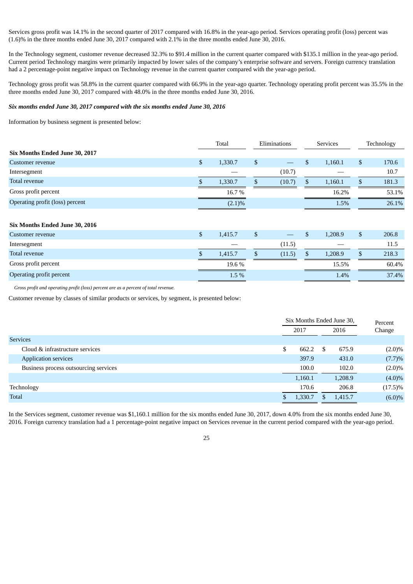Services gross profit was 14.1% in the second quarter of 2017 compared with 16.8% in the year-ago period. Services operating profit (loss) percent was (1.6)% in the three months ended June 30, 2017 compared with 2.1% in the three months ended June 30, 2016.

In the Technology segment, customer revenue decreased 32.3% to \$91.4 million in the current quarter compared with \$135.1 million in the year-ago period. Current period Technology margins were primarily impacted by lower sales of the company's enterprise software and servers. Foreign currency translation had a 2 percentage-point negative impact on Technology revenue in the current quarter compared with the year-ago period.

Technology gross profit was 58.8% in the current quarter compared with 66.9% in the year-ago quarter. Technology operating profit percent was 35.5% in the three months ended June 30, 2017 compared with 48.0% in the three months ended June 30, 2016.

#### *Six months ended June 30, 2017 compared with the six months ended June 30, 2016*

Information by business segment is presented below:

|                                 |                | Total     |              | Eliminations |                | <b>Services</b> | Technology     |       |  |  |  |
|---------------------------------|----------------|-----------|--------------|--------------|----------------|-----------------|----------------|-------|--|--|--|
| Six Months Ended June 30, 2017  |                |           |              |              |                |                 |                |       |  |  |  |
| Customer revenue                | $\mathfrak{S}$ | 1,330.7   | \$           |              | $\mathfrak{S}$ | 1,160.1         | \$             | 170.6 |  |  |  |
| Intersegment                    |                |           |              | (10.7)       |                |                 |                | 10.7  |  |  |  |
| Total revenue                   | \$             | 1,330.7   | $\mathbf{S}$ | (10.7)       | $\mathbb{S}$   | 1,160.1         | \$             | 181.3 |  |  |  |
| Gross profit percent            | 16.7%          |           |              |              |                | 16.2%           |                | 53.1% |  |  |  |
| Operating profit (loss) percent |                | $(2.1)\%$ |              |              |                | 1.5%            |                | 26.1% |  |  |  |
| Six Months Ended June 30, 2016  |                |           |              |              |                |                 |                |       |  |  |  |
| Customer revenue                | $\$$           | 1,415.7   | \$           |              | $\mathfrak{s}$ | 1,208.9         | $\mathfrak{S}$ | 206.8 |  |  |  |
| Intersegment                    |                |           |              | (11.5)       |                |                 |                | 11.5  |  |  |  |
| Total revenue                   | \$.            | 1,415.7   |              | (11.5)       | $\mathbb{S}$   | 1,208.9         | \$             | 218.3 |  |  |  |
| Gross profit percent            | 19.6 %         |           |              |              | 15.5%          |                 |                | 60.4% |  |  |  |

Operating profit percent 1.5 % 37.4% 37.4% 37.4% 37.4% 37.4% 37.4% 37.4% 37.4% 37.4% 37.4% 37.4% 37.4% 37.4% 37.4% 37.4% 37.4% 37.4% 37.4% 37.4% 37.4% 37.4% 37.4% 37.4% 37.4% 37.4% 37.4% 37.4% 37.4% 37.4% 37.4% 37.4% 37.4%

*Gross profit and operating profit (loss) percent are as a percent of total revenue.*

Customer revenue by classes of similar products or services, by segment, is presented below:

|                                       |       | Six Months Ended June 30, |       |         | Percent    |  |  |
|---------------------------------------|-------|---------------------------|-------|---------|------------|--|--|
|                                       | 2017  |                           |       | 2016    | Change     |  |  |
| <b>Services</b>                       |       |                           |       |         |            |  |  |
| Cloud & infrastructure services       | \$    | 662.2                     | £.    | 675.9   | $(2.0)\%$  |  |  |
| <b>Application services</b>           |       | 397.9                     |       | 431.0   | (7.7)%     |  |  |
| Business process outsourcing services | 100.0 |                           | 102.0 |         | $(2.0)\%$  |  |  |
|                                       |       | 1,160.1                   |       | 1,208.9 | $(4.0)\%$  |  |  |
| Technology                            |       | 170.6                     |       | 206.8   | $(17.5)\%$ |  |  |
| <b>Total</b>                          |       | 1,330.7                   | \$.   | 1,415.7 | $(6.0)\%$  |  |  |

In the Services segment, customer revenue was \$1,160.1 million for the six months ended June 30, 2017, down 4.0% from the six months ended June 30, 2016. Foreign currency translation had a 1 percentage-point negative impact on Services revenue in the current period compared with the year-ago period.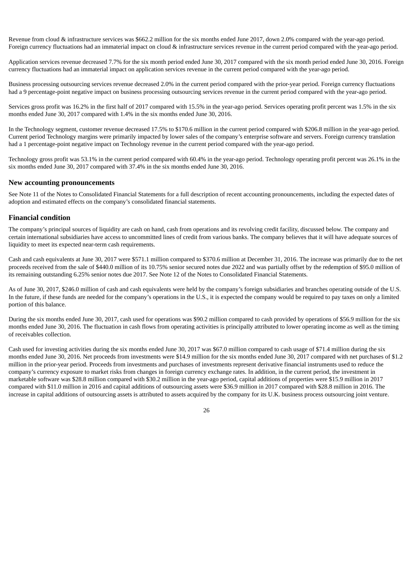Revenue from cloud & infrastructure services was \$662.2 million for the six months ended June 2017, down 2.0% compared with the year-ago period. Foreign currency fluctuations had an immaterial impact on cloud & infrastructure services revenue in the current period compared with the year-ago period.

Application services revenue decreased 7.7% for the six month period ended June 30, 2017 compared with the six month period ended June 30, 2016. Foreign currency fluctuations had an immaterial impact on application services revenue in the current period compared with the year-ago period.

Business processing outsourcing services revenue decreased 2.0% in the current period compared with the prior-year period. Foreign currency fluctuations had a 9 percentage-point negative impact on business processing outsourcing services revenue in the current period compared with the year-ago period.

Services gross profit was 16.2% in the first half of 2017 compared with 15.5% in the year-ago period. Services operating profit percent was 1.5% in the six months ended June 30, 2017 compared with 1.4% in the six months ended June 30, 2016.

In the Technology segment, customer revenue decreased 17.5% to \$170.6 million in the current period compared with \$206.8 million in the year-ago period. Current period Technology margins were primarily impacted by lower sales of the company's enterprise software and servers. Foreign currency translation had a 1 percentage-point negative impact on Technology revenue in the current period compared with the year-ago period.

Technology gross profit was 53.1% in the current period compared with 60.4% in the year-ago period. Technology operating profit percent was 26.1% in the six months ended June 30, 2017 compared with 37.4% in the six months ended June 30, 2016.

#### **New accounting pronouncements**

See Note 11 of the Notes to Consolidated Financial Statements for a full description of recent accounting pronouncements, including the expected dates of adoption and estimated effects on the company's consolidated financial statements.

### **Financial condition**

The company's principal sources of liquidity are cash on hand, cash from operations and its revolving credit facility, discussed below. The company and certain international subsidiaries have access to uncommitted lines of credit from various banks. The company believes that it will have adequate sources of liquidity to meet its expected near-term cash requirements.

Cash and cash equivalents at June 30, 2017 were \$571.1 million compared to \$370.6 million at December 31, 2016. The increase was primarily due to the net proceeds received from the sale of \$440.0 million of its 10.75% senior secured notes due 2022 and was partially offset by the redemption of \$95.0 million of its remaining outstanding 6.25% senior notes due 2017. See Note 12 of the Notes to Consolidated Financial Statements.

As of June 30, 2017, \$246.0 million of cash and cash equivalents were held by the company's foreign subsidiaries and branches operating outside of the U.S. In the future, if these funds are needed for the company's operations in the U.S., it is expected the company would be required to pay taxes on only a limited portion of this balance.

During the six months ended June 30, 2017, cash used for operations was \$90.2 million compared to cash provided by operations of \$56.9 million for the six months ended June 30, 2016. The fluctuation in cash flows from operating activities is principally attributed to lower operating income as well as the timing of receivables collection.

Cash used for investing activities during the six months ended June 30, 2017 was \$67.0 million compared to cash usage of \$71.4 million during the six months ended June 30, 2016. Net proceeds from investments were \$14.9 million for the six months ended June 30, 2017 compared with net purchases of \$1.2 million in the prior-year period. Proceeds from investments and purchases of investments represent derivative financial instruments used to reduce the company's currency exposure to market risks from changes in foreign currency exchange rates. In addition, in the current period, the investment in marketable software was \$28.8 million compared with \$30.2 million in the year-ago period, capital additions of properties were \$15.9 million in 2017 compared with \$11.0 million in 2016 and capital additions of outsourcing assets were \$36.9 million in 2017 compared with \$28.8 million in 2016. The increase in capital additions of outsourcing assets is attributed to assets acquired by the company for its U.K. business process outsourcing joint venture.

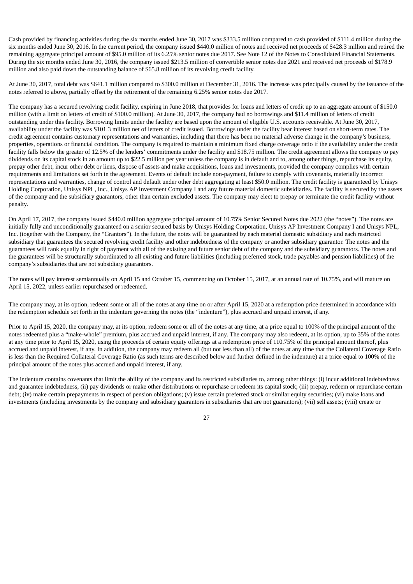Cash provided by financing activities during the six months ended June 30, 2017 was \$333.5 million compared to cash provided of \$111.4 million during the six months ended June 30, 2016. In the current period, the company issued \$440.0 million of notes and received net proceeds of \$428.3 million and retired the remaining aggregate principal amount of \$95.0 million of its 6.25% senior notes due 2017. See Note 12 of the Notes to Consolidated Financial Statements. During the six months ended June 30, 2016, the company issued \$213.5 million of convertible senior notes due 2021 and received net proceeds of \$178.9 million and also paid down the outstanding balance of \$65.8 million of its revolving credit facility.

At June 30, 2017, total debt was \$641.1 million compared to \$300.0 million at December 31, 2016. The increase was principally caused by the issuance of the notes referred to above, partially offset by the retirement of the remaining 6.25% senior notes due 2017.

The company has a secured revolving credit facility, expiring in June 2018, that provides for loans and letters of credit up to an aggregate amount of \$150.0 million (with a limit on letters of credit of \$100.0 million). At June 30, 2017, the company had no borrowings and \$11.4 million of letters of credit outstanding under this facility. Borrowing limits under the facility are based upon the amount of eligible U.S. accounts receivable. At June 30, 2017, availability under the facility was \$101.3 million net of letters of credit issued. Borrowings under the facility bear interest based on short-term rates. The credit agreement contains customary representations and warranties, including that there has been no material adverse change in the company's business, properties, operations or financial condition. The company is required to maintain a minimum fixed charge coverage ratio if the availability under the credit facility falls below the greater of 12.5% of the lenders' commitments under the facility and \$18.75 million. The credit agreement allows the company to pay dividends on its capital stock in an amount up to \$22.5 million per year unless the company is in default and to, among other things, repurchase its equity, prepay other debt, incur other debt or liens, dispose of assets and make acquisitions, loans and investments, provided the company complies with certain requirements and limitations set forth in the agreement. Events of default include non-payment, failure to comply with covenants, materially incorrect representations and warranties, change of control and default under other debt aggregating at least \$50.0 million. The credit facility is guaranteed by Unisys Holding Corporation, Unisys NPL, Inc., Unisys AP Investment Company I and any future material domestic subsidiaries. The facility is secured by the assets of the company and the subsidiary guarantors, other than certain excluded assets. The company may elect to prepay or terminate the credit facility without penalty.

On April 17, 2017, the company issued \$440.0 million aggregate principal amount of 10.75% Senior Secured Notes due 2022 (the "notes"). The notes are initially fully and unconditionally guaranteed on a senior secured basis by Unisys Holding Corporation, Unisys AP Investment Company I and Unisys NPL, Inc. (together with the Company, the "Grantors"). In the future, the notes will be guaranteed by each material domestic subsidiary and each restricted subsidiary that guarantees the secured revolving credit facility and other indebtedness of the company or another subsidiary guarantor. The notes and the guarantees will rank equally in right of payment with all of the existing and future senior debt of the company and the subsidiary guarantors. The notes and the guarantees will be structurally subordinated to all existing and future liabilities (including preferred stock, trade payables and pension liabilities) of the company's subsidiaries that are not subsidiary guarantors.

The notes will pay interest semiannually on April 15 and October 15, commencing on October 15, 2017, at an annual rate of 10.75%, and will mature on April 15, 2022, unless earlier repurchased or redeemed.

The company may, at its option, redeem some or all of the notes at any time on or after April 15, 2020 at a redemption price determined in accordance with the redemption schedule set forth in the indenture governing the notes (the "indenture"), plus accrued and unpaid interest, if any.

Prior to April 15, 2020, the company may, at its option, redeem some or all of the notes at any time, at a price equal to 100% of the principal amount of the notes redeemed plus a "make-whole" premium, plus accrued and unpaid interest, if any. The company may also redeem, at its option, up to 35% of the notes at any time prior to April 15, 2020, using the proceeds of certain equity offerings at a redemption price of 110.75% of the principal amount thereof, plus accrued and unpaid interest, if any. In addition, the company may redeem all (but not less than all) of the notes at any time that the Collateral Coverage Ratio is less than the Required Collateral Coverage Ratio (as such terms are described below and further defined in the indenture) at a price equal to 100% of the principal amount of the notes plus accrued and unpaid interest, if any.

The indenture contains covenants that limit the ability of the company and its restricted subsidiaries to, among other things: (i) incur additional indebtedness and guarantee indebtedness; (ii) pay dividends or make other distributions or repurchase or redeem its capital stock; (iii) prepay, redeem or repurchase certain debt; (iv) make certain prepayments in respect of pension obligations; (v) issue certain preferred stock or similar equity securities; (vi) make loans and investments (including investments by the company and subsidiary guarantors in subsidiaries that are not guarantors); (vii) sell assets; (viii) create or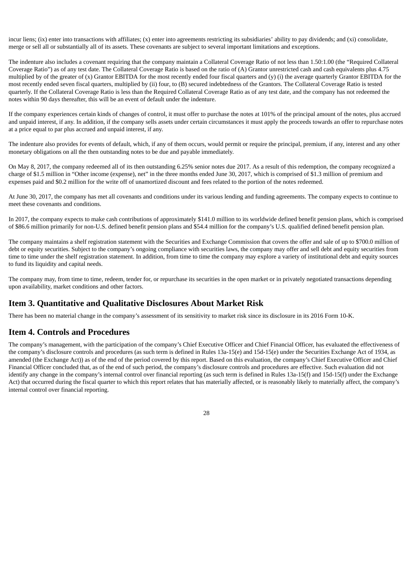incur liens; (ix) enter into transactions with affiliates; (x) enter into agreements restricting its subsidiaries' ability to pay dividends; and (xi) consolidate, merge or sell all or substantially all of its assets. These covenants are subject to several important limitations and exceptions.

The indenture also includes a covenant requiring that the company maintain a Collateral Coverage Ratio of not less than 1.50:1.00 (the "Required Collateral Coverage Ratio") as of any test date. The Collateral Coverage Ratio is based on the ratio of (A) Grantor unrestricted cash and cash equivalents plus 4.75 multiplied by of the greater of (x) Grantor EBITDA for the most recently ended four fiscal quarters and (y) (i) the average quarterly Grantor EBITDA for the most recently ended seven fiscal quarters, multiplied by (ii) four, to (B) secured indebtedness of the Grantors. The Collateral Coverage Ratio is tested quarterly. If the Collateral Coverage Ratio is less than the Required Collateral Coverage Ratio as of any test date, and the company has not redeemed the notes within 90 days thereafter, this will be an event of default under the indenture.

If the company experiences certain kinds of changes of control, it must offer to purchase the notes at 101% of the principal amount of the notes, plus accrued and unpaid interest, if any. In addition, if the company sells assets under certain circumstances it must apply the proceeds towards an offer to repurchase notes at a price equal to par plus accrued and unpaid interest, if any.

The indenture also provides for events of default, which, if any of them occurs, would permit or require the principal, premium, if any, interest and any other monetary obligations on all the then outstanding notes to be due and payable immediately.

On May 8, 2017, the company redeemed all of its then outstanding 6.25% senior notes due 2017. As a result of this redemption, the company recognized a charge of \$1.5 million in "Other income (expense), net" in the three months ended June 30, 2017, which is comprised of \$1.3 million of premium and expenses paid and \$0.2 million for the write off of unamortized discount and fees related to the portion of the notes redeemed.

At June 30, 2017, the company has met all covenants and conditions under its various lending and funding agreements. The company expects to continue to meet these covenants and conditions.

In 2017, the company expects to make cash contributions of approximately \$141.0 million to its worldwide defined benefit pension plans, which is comprised of \$86.6 million primarily for non-U.S. defined benefit pension plans and \$54.4 million for the company's U.S. qualified defined benefit pension plan.

The company maintains a shelf registration statement with the Securities and Exchange Commission that covers the offer and sale of up to \$700.0 million of debt or equity securities. Subject to the company's ongoing compliance with securities laws, the company may offer and sell debt and equity securities from time to time under the shelf registration statement. In addition, from time to time the company may explore a variety of institutional debt and equity sources to fund its liquidity and capital needs.

The company may, from time to time, redeem, tender for, or repurchase its securities in the open market or in privately negotiated transactions depending upon availability, market conditions and other factors.

## **Item 3. Quantitative and Qualitative Disclosures About Market Risk**

There has been no material change in the company's assessment of its sensitivity to market risk since its disclosure in its 2016 Form 10-K.

## **Item 4. Controls and Procedures**

The company's management, with the participation of the company's Chief Executive Officer and Chief Financial Officer, has evaluated the effectiveness of the company's disclosure controls and procedures (as such term is defined in Rules 13a-15(e) and 15d-15(e) under the Securities Exchange Act of 1934, as amended (the Exchange Act)) as of the end of the period covered by this report. Based on this evaluation, the company's Chief Executive Officer and Chief Financial Officer concluded that, as of the end of such period, the company's disclosure controls and procedures are effective. Such evaluation did not identify any change in the company's internal control over financial reporting (as such term is defined in Rules 13a-15(f) and 15d-15(f) under the Exchange Act) that occurred during the fiscal quarter to which this report relates that has materially affected, or is reasonably likely to materially affect, the company's internal control over financial reporting.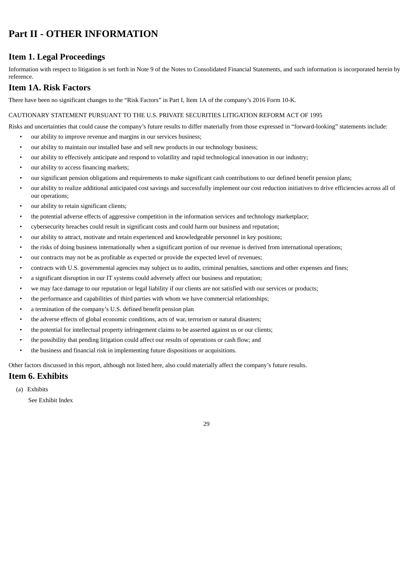# **Part II - OTHER INFORMATION**

## **Item 1. Legal Proceedings**

Information with respect to litigation is set forth in Note 9 of the Notes to Consolidated Financial Statements, and such information is incorporated herein by reference.

## **Item 1A. Risk Factors**

There have been no significant changes to the "Risk Factors" in Part I, Item 1A of the company's 2016 Form 10-K.

## CAUTIONARY STATEMENT PURSUANT TO THE U.S. PRIVATE SECURITIES LITIGATION REFORM ACT OF 1995

Risks and uncertainties that could cause the company's future results to differ materially from those expressed in "forward-looking" statements include:

- our ability to improve revenue and margins in our services business;
- our ability to maintain our installed base and sell new products in our technology business;
- our ability to effectively anticipate and respond to volatility and rapid technological innovation in our industry;
- our ability to access financing markets:
- our significant pension obligations and requirements to make significant cash contributions to our defined benefit pension plans;
- our ability to realize additional anticipated cost savings and successfully implement our cost reduction initiatives to drive efficiencies across all of our operations;
- our ability to retain significant clients;
- the potential adverse effects of aggressive competition in the information services and technology marketplace;
- cybersecurity breaches could result in significant costs and could harm our business and reputation;
- our ability to attract, motivate and retain experienced and knowledgeable personnel in key positions;
- the risks of doing business internationally when a significant portion of our revenue is derived from international operations;
- our contracts may not be as profitable as expected or provide the expected level of revenues;
- contracts with U.S. governmental agencies may subject us to audits, criminal penalties, sanctions and other expenses and fines;
- a significant disruption in our IT systems could adversely affect our business and reputation;
- we may face damage to our reputation or legal liability if our clients are not satisfied with our services or products;
- the performance and capabilities of third parties with whom we have commercial relationships;
- a termination of the company's U.S. defined benefit pension plan
- the adverse effects of global economic conditions, acts of war, terrorism or natural disasters;
- the potential for intellectual property infringement claims to be asserted against us or our clients;
- the possibility that pending litigation could affect our results of operations or cash flow; and
- the business and financial risk in implementing future dispositions or acquisitions.

Other factors discussed in this report, although not listed here, also could materially affect the company's future results.

## **Item 6. Exhibits**

(a) Exhibits

See Exhibit Index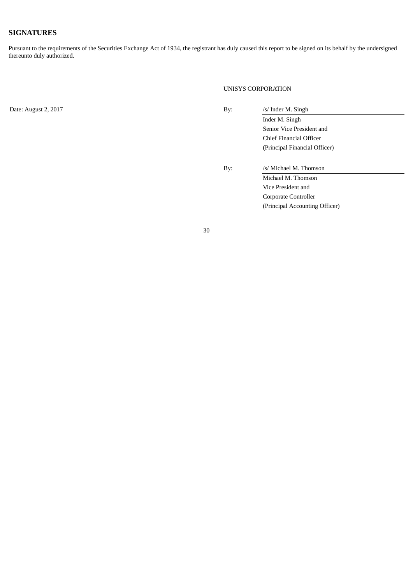## **SIGNATURES**

Pursuant to the requirements of the Securities Exchange Act of 1934, the registrant has duly caused this report to be signed on its behalf by the undersigned thereunto duly authorized.

UNISYS CORPORATION

| Date: August 2, 2017 |  |  |
|----------------------|--|--|
|----------------------|--|--|

| Date: August 2, 2017 | By: | /s/ Inder M. Singh                       |  |  |  |  |  |
|----------------------|-----|------------------------------------------|--|--|--|--|--|
|                      |     | Inder M. Singh                           |  |  |  |  |  |
|                      |     | Senior Vice President and                |  |  |  |  |  |
|                      |     | Chief Financial Officer                  |  |  |  |  |  |
|                      |     | (Principal Financial Officer)            |  |  |  |  |  |
|                      |     |                                          |  |  |  |  |  |
|                      | By: | /s/ Michael M. Thomson                   |  |  |  |  |  |
|                      |     | Michael M. Thomson<br>Vice President and |  |  |  |  |  |
|                      |     |                                          |  |  |  |  |  |
|                      |     | Corporate Controller                     |  |  |  |  |  |
|                      |     | (Principal Accounting Officer)           |  |  |  |  |  |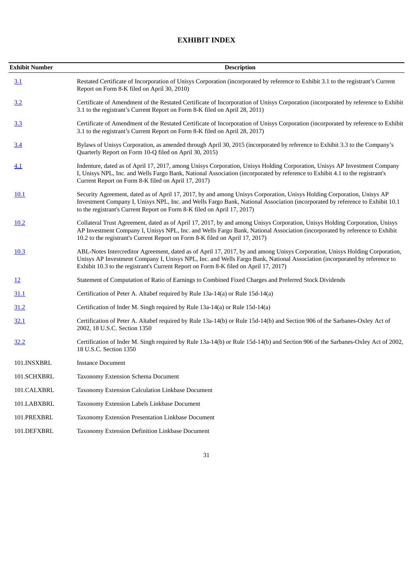# **EXHIBIT INDEX**

| <b>Exhibit Number</b> | <b>Description</b>                                                                                                                                                                                                                                                                                                                               |
|-----------------------|--------------------------------------------------------------------------------------------------------------------------------------------------------------------------------------------------------------------------------------------------------------------------------------------------------------------------------------------------|
| 3.1                   | Restated Certificate of Incorporation of Unisys Corporation (incorporated by reference to Exhibit 3.1 to the registrant's Current<br>Report on Form 8-K filed on April 30, 2010)                                                                                                                                                                 |
| 3.2                   | Certificate of Amendment of the Restated Certificate of Incorporation of Unisys Corporation (incorporated by reference to Exhibit<br>3.1 to the registrant's Current Report on Form 8-K filed on April 28, 2011)                                                                                                                                 |
| 3.3                   | Certificate of Amendment of the Restated Certificate of Incorporation of Unisys Corporation (incorporated by reference to Exhibit<br>3.1 to the registrant's Current Report on Form 8-K filed on April 28, 2017)                                                                                                                                 |
| <u>3.4</u>            | Bylaws of Unisys Corporation, as amended through April 30, 2015 (incorporated by reference to Exhibit 3.3 to the Company's<br>Quarterly Report on Form 10-Q filed on April 30, 2015)                                                                                                                                                             |
| <u>4.1</u>            | Indenture, dated as of April 17, 2017, among Unisys Corporation, Unisys Holding Corporation, Unisys AP Investment Company<br>I, Unisys NPL, Inc. and Wells Fargo Bank, National Association (incorporated by reference to Exhibit 4.1 to the registrant's<br>Current Report on Form 8-K filed on April 17, 2017)                                 |
| 10.1                  | Security Agreement, dated as of April 17, 2017, by and among Unisys Corporation, Unisys Holding Corporation, Unisys AP<br>Investment Company I, Unisys NPL, Inc. and Wells Fargo Bank, National Association (incorporated by reference to Exhibit 10.1<br>to the registrant's Current Report on Form 8-K filed on April 17, 2017)                |
| 10.2                  | Collateral Trust Agreement, dated as of April 17, 2017, by and among Unisys Corporation, Unisys Holding Corporation, Unisys<br>AP Investment Company I, Unisys NPL, Inc. and Wells Fargo Bank, National Association (incorporated by reference to Exhibit<br>10.2 to the registrant's Current Report on Form 8-K filed on April 17, 2017)        |
| 10.3                  | ABL-Notes Intercreditor Agreement, dated as of April 17, 2017, by and among Unisys Corporation, Unisys Holding Corporation,<br>Unisys AP Investment Company I, Unisys NPL, Inc. and Wells Fargo Bank, National Association (incorporated by reference to<br>Exhibit 10.3 to the registrant's Current Report on Form 8-K filed on April 17, 2017) |
| <u>12</u>             | Statement of Computation of Ratio of Earnings to Combined Fixed Charges and Preferred Stock Dividends                                                                                                                                                                                                                                            |
| 31.1                  | Certification of Peter A. Altabef required by Rule 13a-14(a) or Rule 15d-14(a)                                                                                                                                                                                                                                                                   |
| 31.2                  | Certification of Inder M. Singh required by Rule 13a-14(a) or Rule 15d-14(a)                                                                                                                                                                                                                                                                     |
| <u>32.1</u>           | Certification of Peter A. Altabef required by Rule 13a-14(b) or Rule 15d-14(b) and Section 906 of the Sarbanes-Oxley Act of<br>2002, 18 U.S.C. Section 1350                                                                                                                                                                                      |
| 32.2                  | Certification of Inder M. Singh required by Rule 13a-14(b) or Rule 15d-14(b) and Section 906 of the Sarbanes-Oxley Act of 2002,<br>18 U.S.C. Section 1350                                                                                                                                                                                        |
| 101.INSXBRL           | <b>Instance Document</b>                                                                                                                                                                                                                                                                                                                         |
| 101.SCHXBRL           | <b>Taxonomy Extension Schema Document</b>                                                                                                                                                                                                                                                                                                        |
| 101.CALXBRL           | Taxonomy Extension Calculation Linkbase Document                                                                                                                                                                                                                                                                                                 |
| 101.LABXBRL           | Taxonomy Extension Labels Linkbase Document                                                                                                                                                                                                                                                                                                      |
| 101.PREXBRL           | Taxonomy Extension Presentation Linkbase Document                                                                                                                                                                                                                                                                                                |
| 101.DEFXBRL           | Taxonomy Extension Definition Linkbase Document                                                                                                                                                                                                                                                                                                  |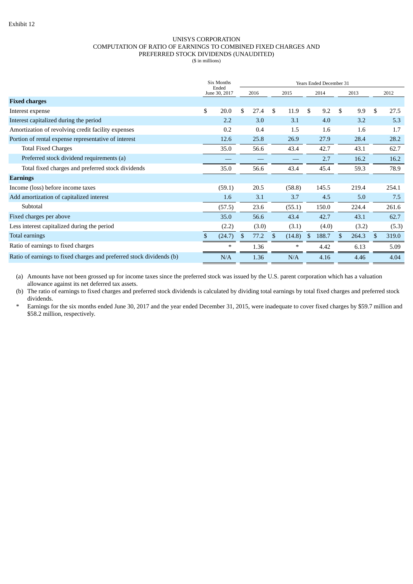#### UNISYS CORPORATION COMPUTATION OF RATIO OF EARNINGS TO COMBINED FIXED CHARGES AND PREFERRED STOCK DIVIDENDS (UNAUDITED) (\$ in millions)

<span id="page-31-0"></span>

|                                                                      | <b>Six Months</b> |               |              | Years Ended December 31 |      |        |               |       |               |       | Ended |       |  |  |  |  |  |  |  |  |  |
|----------------------------------------------------------------------|-------------------|---------------|--------------|-------------------------|------|--------|---------------|-------|---------------|-------|-------|-------|--|--|--|--|--|--|--|--|--|
|                                                                      |                   | June 30, 2017 | 2016<br>2015 |                         | 2014 |        |               | 2013  |               | 2012  |       |       |  |  |  |  |  |  |  |  |  |
| <b>Fixed charges</b>                                                 |                   |               |              |                         |      |        |               |       |               |       |       |       |  |  |  |  |  |  |  |  |  |
| Interest expense                                                     | \$                | 20.0          | \$           | 27.4                    | \$.  | 11.9   | \$            | 9.2   | \$            | 9.9   | \$    | 27.5  |  |  |  |  |  |  |  |  |  |
| Interest capitalized during the period                               |                   | 2.2           |              | 3.0                     |      | 3.1    |               | 4.0   |               | 3.2   |       | 5.3   |  |  |  |  |  |  |  |  |  |
| Amortization of revolving credit facility expenses                   |                   | 0.2           |              | 0.4                     |      | 1.5    |               | 1.6   |               | 1.6   |       | 1.7   |  |  |  |  |  |  |  |  |  |
| Portion of rental expense representative of interest                 |                   | 12.6          |              | 25.8                    |      | 26.9   |               | 27.9  |               | 28.4  |       | 28.2  |  |  |  |  |  |  |  |  |  |
| <b>Total Fixed Charges</b>                                           |                   | 35.0          |              | 56.6                    |      | 43.4   |               | 42.7  |               | 43.1  |       | 62.7  |  |  |  |  |  |  |  |  |  |
| Preferred stock dividend requirements (a)                            |                   |               |              |                         |      |        |               | 2.7   |               | 16.2  |       | 16.2  |  |  |  |  |  |  |  |  |  |
| Total fixed charges and preferred stock dividends                    |                   | 35.0          |              | 56.6                    |      | 43.4   |               | 45.4  |               | 59.3  | 78.9  |       |  |  |  |  |  |  |  |  |  |
| <b>Earnings</b>                                                      |                   |               |              |                         |      |        |               |       |               |       |       |       |  |  |  |  |  |  |  |  |  |
| Income (loss) before income taxes                                    |                   | (59.1)        |              | 20.5                    |      | (58.8) |               | 145.5 |               | 219.4 |       | 254.1 |  |  |  |  |  |  |  |  |  |
| Add amortization of capitalized interest                             |                   | 1.6           |              | 3.1                     |      | 3.7    |               | 4.5   |               | 5.0   |       | 7.5   |  |  |  |  |  |  |  |  |  |
| Subtotal                                                             |                   | (57.5)        |              | 23.6                    |      | (55.1) |               | 150.0 |               | 224.4 |       | 261.6 |  |  |  |  |  |  |  |  |  |
| Fixed charges per above                                              |                   | 35.0          |              | 56.6                    |      | 43.4   |               | 42.7  |               | 43.1  |       | 62.7  |  |  |  |  |  |  |  |  |  |
| Less interest capitalized during the period                          |                   | (2.2)         |              | (3.0)                   |      | (3.1)  |               | (4.0) |               | (3.2) |       | (5.3) |  |  |  |  |  |  |  |  |  |
| Total earnings                                                       |                   | (24.7)        | \$           | 77.2                    | \$   | (14.8) | <sup>\$</sup> | 188.7 | <sup>\$</sup> | 264.3 | \$    | 319.0 |  |  |  |  |  |  |  |  |  |
| Ratio of earnings to fixed charges                                   |                   | $\ast$        |              | 1.36                    |      | $\ast$ |               | 4.42  |               | 6.13  |       | 5.09  |  |  |  |  |  |  |  |  |  |
| Ratio of earnings to fixed charges and preferred stock dividends (b) |                   | N/A           |              | 1.36                    |      | N/A    |               | 4.16  |               | 4.46  |       | 4.04  |  |  |  |  |  |  |  |  |  |

(a) Amounts have not been grossed up for income taxes since the preferred stock was issued by the U.S. parent corporation which has a valuation allowance against its net deferred tax assets.

(b) The ratio of earnings to fixed charges and preferred stock dividends is calculated by dividing total earnings by total fixed charges and preferred stock dividends.

\* Earnings for the six months ended June 30, 2017 and the year ended December 31, 2015, were inadequate to cover fixed charges by \$59.7 million and \$58.2 million, respectively.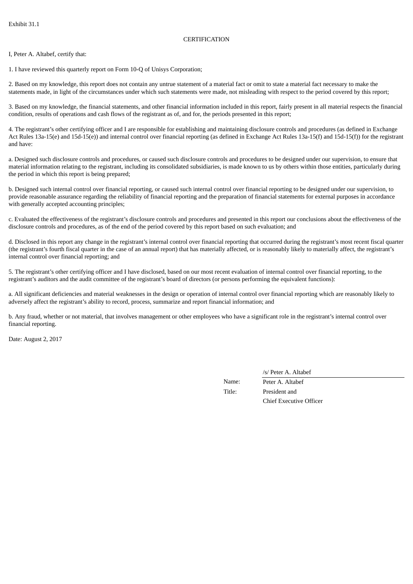### **CERTIFICATION**

#### <span id="page-32-0"></span>I, Peter A. Altabef, certify that:

1. I have reviewed this quarterly report on Form 10-Q of Unisys Corporation;

2. Based on my knowledge, this report does not contain any untrue statement of a material fact or omit to state a material fact necessary to make the statements made, in light of the circumstances under which such statements were made, not misleading with respect to the period covered by this report;

3. Based on my knowledge, the financial statements, and other financial information included in this report, fairly present in all material respects the financial condition, results of operations and cash flows of the registrant as of, and for, the periods presented in this report;

4. The registrant's other certifying officer and I are responsible for establishing and maintaining disclosure controls and procedures (as defined in Exchange Act Rules 13a-15(e) and 15d-15(e)) and internal control over financial reporting (as defined in Exchange Act Rules 13a-15(f) and 15d-15(f)) for the registrant and have:

a. Designed such disclosure controls and procedures, or caused such disclosure controls and procedures to be designed under our supervision, to ensure that material information relating to the registrant, including its consolidated subsidiaries, is made known to us by others within those entities, particularly during the period in which this report is being prepared;

b. Designed such internal control over financial reporting, or caused such internal control over financial reporting to be designed under our supervision, to provide reasonable assurance regarding the reliability of financial reporting and the preparation of financial statements for external purposes in accordance with generally accepted accounting principles;

c. Evaluated the effectiveness of the registrant's disclosure controls and procedures and presented in this report our conclusions about the effectiveness of the disclosure controls and procedures, as of the end of the period covered by this report based on such evaluation; and

d. Disclosed in this report any change in the registrant's internal control over financial reporting that occurred during the registrant's most recent fiscal quarter (the registrant's fourth fiscal quarter in the case of an annual report) that has materially affected, or is reasonably likely to materially affect, the registrant's internal control over financial reporting; and

5. The registrant's other certifying officer and I have disclosed, based on our most recent evaluation of internal control over financial reporting, to the registrant's auditors and the audit committee of the registrant's board of directors (or persons performing the equivalent functions):

a. All significant deficiencies and material weaknesses in the design or operation of internal control over financial reporting which are reasonably likely to adversely affect the registrant's ability to record, process, summarize and report financial information; and

b. Any fraud, whether or not material, that involves management or other employees who have a significant role in the registrant's internal control over financial reporting.

Date: August 2, 2017

Name: Peter A. Altabef

/s/ Peter A. Altabef

Title: President and Chief Executive Officer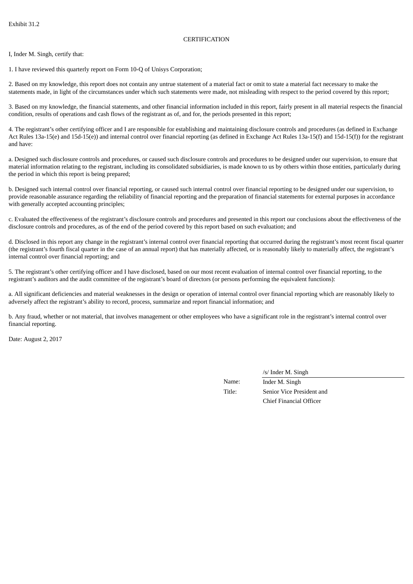### **CERTIFICATION**

#### <span id="page-33-0"></span>I, Inder M. Singh, certify that:

1. I have reviewed this quarterly report on Form 10-Q of Unisys Corporation;

2. Based on my knowledge, this report does not contain any untrue statement of a material fact or omit to state a material fact necessary to make the statements made, in light of the circumstances under which such statements were made, not misleading with respect to the period covered by this report;

3. Based on my knowledge, the financial statements, and other financial information included in this report, fairly present in all material respects the financial condition, results of operations and cash flows of the registrant as of, and for, the periods presented in this report;

4. The registrant's other certifying officer and I are responsible for establishing and maintaining disclosure controls and procedures (as defined in Exchange Act Rules 13a-15(e) and 15d-15(e)) and internal control over financial reporting (as defined in Exchange Act Rules 13a-15(f) and 15d-15(f)) for the registrant and have:

a. Designed such disclosure controls and procedures, or caused such disclosure controls and procedures to be designed under our supervision, to ensure that material information relating to the registrant, including its consolidated subsidiaries, is made known to us by others within those entities, particularly during the period in which this report is being prepared;

b. Designed such internal control over financial reporting, or caused such internal control over financial reporting to be designed under our supervision, to provide reasonable assurance regarding the reliability of financial reporting and the preparation of financial statements for external purposes in accordance with generally accepted accounting principles;

c. Evaluated the effectiveness of the registrant's disclosure controls and procedures and presented in this report our conclusions about the effectiveness of the disclosure controls and procedures, as of the end of the period covered by this report based on such evaluation; and

d. Disclosed in this report any change in the registrant's internal control over financial reporting that occurred during the registrant's most recent fiscal quarter (the registrant's fourth fiscal quarter in the case of an annual report) that has materially affected, or is reasonably likely to materially affect, the registrant's internal control over financial reporting; and

5. The registrant's other certifying officer and I have disclosed, based on our most recent evaluation of internal control over financial reporting, to the registrant's auditors and the audit committee of the registrant's board of directors (or persons performing the equivalent functions):

a. All significant deficiencies and material weaknesses in the design or operation of internal control over financial reporting which are reasonably likely to adversely affect the registrant's ability to record, process, summarize and report financial information; and

b. Any fraud, whether or not material, that involves management or other employees who have a significant role in the registrant's internal control over financial reporting.

Date: August 2, 2017

/s/ Inder M. Singh Name: Inder M. Singh Title: Senior Vice President and Chief Financial Officer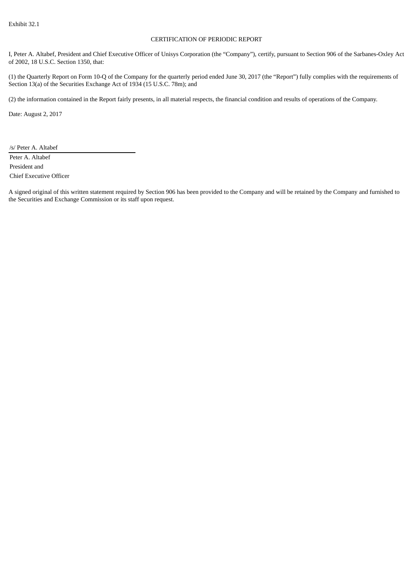## CERTIFICATION OF PERIODIC REPORT

<span id="page-34-0"></span>I, Peter A. Altabef, President and Chief Executive Officer of Unisys Corporation (the "Company"), certify, pursuant to Section 906 of the Sarbanes-Oxley Act of 2002, 18 U.S.C. Section 1350, that:

(1) the Quarterly Report on Form 10-Q of the Company for the quarterly period ended June 30, 2017 (the "Report") fully complies with the requirements of Section 13(a) of the Securities Exchange Act of 1934 (15 U.S.C. 78m); and

(2) the information contained in the Report fairly presents, in all material respects, the financial condition and results of operations of the Company.

Date: August 2, 2017

/s/ Peter A. Altabef

Peter A. Altabef President and Chief Executive Officer

A signed original of this written statement required by Section 906 has been provided to the Company and will be retained by the Company and furnished to the Securities and Exchange Commission or its staff upon request.